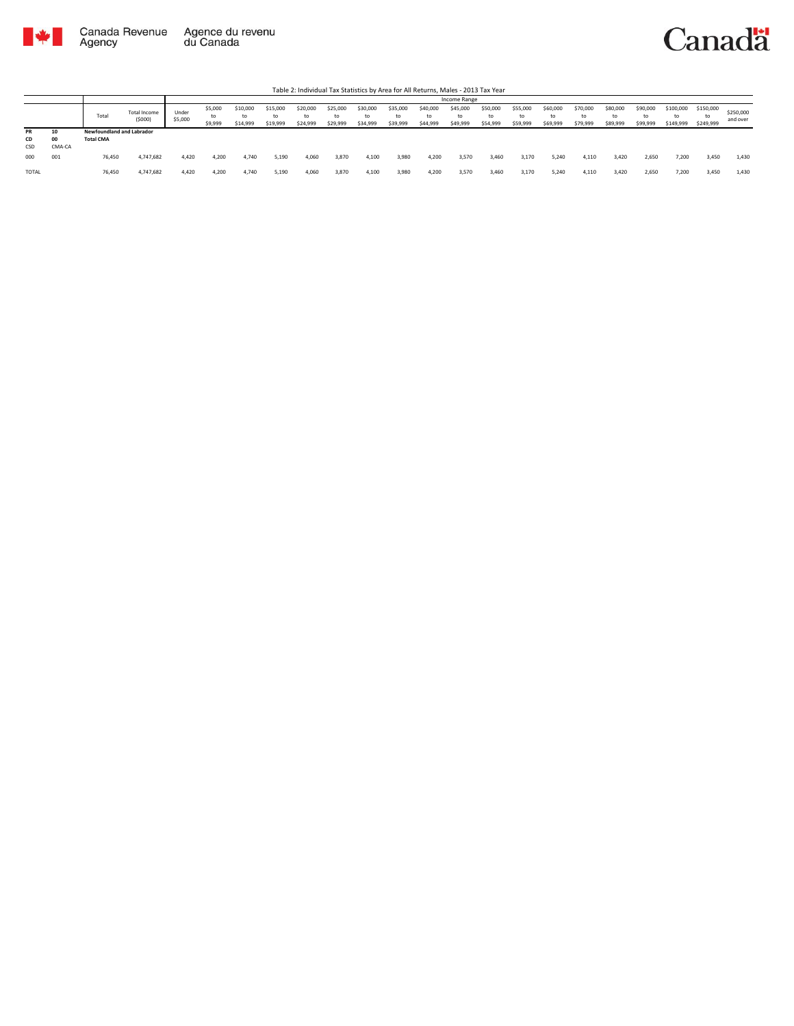

|           |              |                           |                        |                  |                          |                            |                            |                            |                            |                            |                            |                            | Income Range               |                            |                            |                            |                      |                            |                            |                              |                              |                       |
|-----------|--------------|---------------------------|------------------------|------------------|--------------------------|----------------------------|----------------------------|----------------------------|----------------------------|----------------------------|----------------------------|----------------------------|----------------------------|----------------------------|----------------------------|----------------------------|----------------------|----------------------------|----------------------------|------------------------------|------------------------------|-----------------------|
|           |              | Total                     | Total Income<br>(5000) | Under<br>\$5,000 | \$5,000<br>to<br>\$9,999 | \$10,000<br>to<br>\$14,999 | \$15,000<br>to<br>\$19,999 | \$20,000<br>to<br>\$24,999 | \$25,000<br>to<br>\$29,999 | \$30,000<br>t∩<br>\$34,999 | \$35,000<br>to<br>\$39,999 | \$40,000<br>to<br>\$44,999 | \$45,000<br>to<br>\$49,999 | \$50,000<br>to<br>\$54,999 | \$55,000<br>to<br>\$59,999 | \$60,000<br>to<br>\$69,999 | \$70,000<br>\$79,999 | \$80,000<br>to<br>\$89,999 | \$90,000<br>to<br>\$99,999 | \$100,000<br>to<br>\$149,999 | \$150,000<br>to<br>\$249,999 | \$250,000<br>and over |
| PR        | 10           | Newfoundland and Labrador |                        |                  |                          |                            |                            |                            |                            |                            |                            |                            |                            |                            |                            |                            |                      |                            |                            |                              |                              |                       |
| CD<br>CSD | 00<br>CMA-CA | <b>Total CMA</b>          |                        |                  |                          |                            |                            |                            |                            |                            |                            |                            |                            |                            |                            |                            |                      |                            |                            |                              |                              |                       |
| 000       | 001          | 76,450                    | 4,747,682              | 4,420            | 4,200                    | 4.740                      | 5,190                      | 4,060                      | 3,870                      | 4,100                      | 3,980                      | 4,200                      | 3,570                      | 3,460                      | 3,170                      | 5,240                      | 4,116                | 3,420                      | 2,650                      | 7,200                        | 3,450                        | 1,430                 |
| TOTAL     |              | 76,450                    | 4,747,682              | 4.420            | 4.200                    | 4.740                      | 5,190                      | 4.060                      | 3,870                      | 4,100                      | 3,980                      | 4,200                      | 3,570                      | 3,460                      | 3,170                      | 5,240                      | 4,110                | 3.420                      | 2,650                      | 7.200                        | 3,450                        | 1,430                 |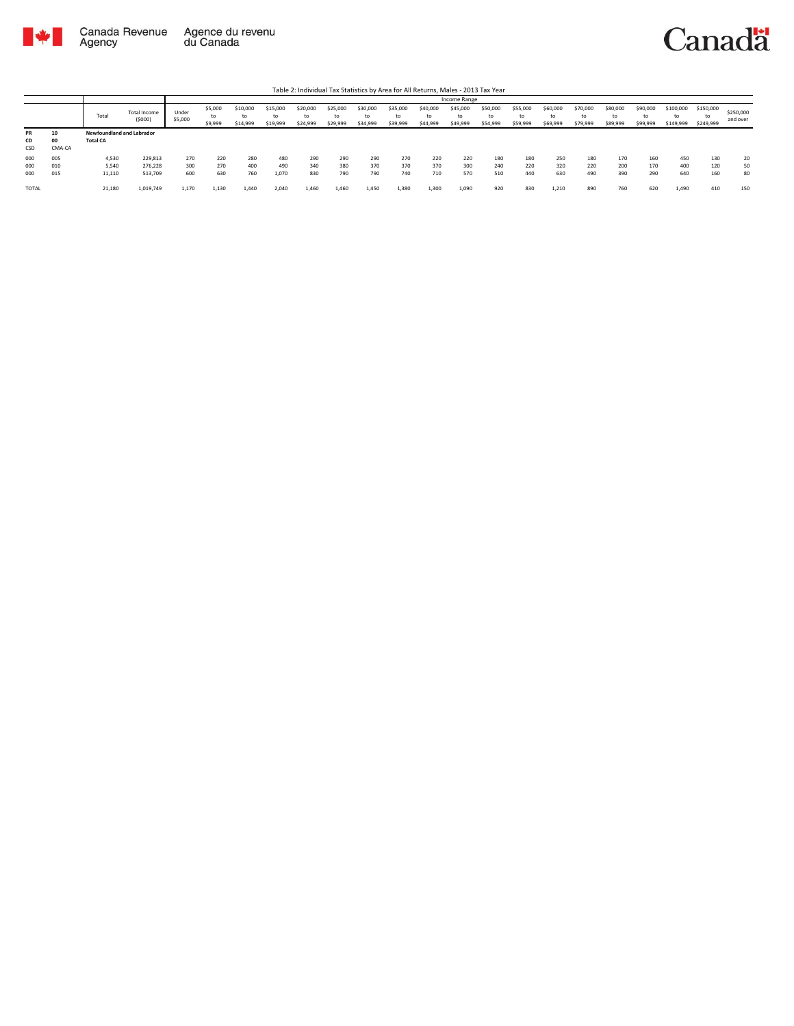



|                        |                    |                                              |                        |                  |                          |                            |                            |                            |                            |                            |                            |                            | Income Range               |                            |                            |                            |                            |                            |                            |                              |                              |                       |
|------------------------|--------------------|----------------------------------------------|------------------------|------------------|--------------------------|----------------------------|----------------------------|----------------------------|----------------------------|----------------------------|----------------------------|----------------------------|----------------------------|----------------------------|----------------------------|----------------------------|----------------------------|----------------------------|----------------------------|------------------------------|------------------------------|-----------------------|
|                        |                    | Total                                        | Total Income<br>(5000) | Under<br>\$5,000 | \$5,000<br>to<br>\$9,999 | \$10,000<br>to<br>\$14,999 | \$15,000<br>to<br>\$19,999 | \$20,000<br>to<br>\$24,999 | \$25,000<br>to<br>\$29,999 | \$30,000<br>to<br>\$34,999 | \$35,000<br>to<br>\$39,999 | \$40,000<br>to<br>\$44,999 | \$45,000<br>to<br>\$49,999 | \$50,000<br>to<br>\$54,999 | \$55,000<br>to<br>\$59,999 | \$60,000<br>to<br>\$69,999 | \$70,000<br>to<br>\$79,999 | \$80,000<br>to<br>\$89,999 | \$90,000<br>to<br>\$99,999 | \$100,000<br>to<br>\$149,999 | \$150,000<br>to<br>\$249,999 | \$250,000<br>and over |
| <b>PR</b><br>CD<br>CSD | 10<br>00<br>CMA-CA | Newfoundland and Labrador<br><b>Total CA</b> |                        |                  |                          |                            |                            |                            |                            |                            |                            |                            |                            |                            |                            |                            |                            |                            |                            |                              |                              |                       |
| 000                    | 005                | 4,530                                        | 229,813                | 270              | 220                      | 280                        | 480                        | 290                        | 290                        | 290                        | 270                        | 220                        | 220                        | 180                        | 180                        | 250                        | 180                        | 170                        | 160                        | 450                          | 130                          | 20                    |
| 000                    | 010                | 5,540                                        | 276.228                | 300              | 270                      | 400                        | 490                        | 340                        | 380                        | 370                        | 370                        | 370                        | 300                        | 240                        | 220                        | 320                        | 220                        | 200                        | 170                        | 400                          | 120                          | 50                    |
| 000                    | 015                | 11,110                                       | 513,709                | 600              | 630                      | 760                        | 1,070                      | 830                        | 790                        | 790                        | 740                        | 710                        | 570                        | 510                        | 440                        | 630                        | 490                        | 390                        | 290                        | 640                          | 160                          | 80                    |
| TOTAL                  |                    | 21,180                                       | 1,019,749              | 1.170            | 1.130                    | 1.440                      | 2.040                      | 1.460                      | 1.460                      | 1,450                      | 1.380                      | 1,300                      | 1,090                      | 920                        | 830                        | 1,210                      | 890                        | 760                        | 620                        | 1.490                        | 410                          | 150                   |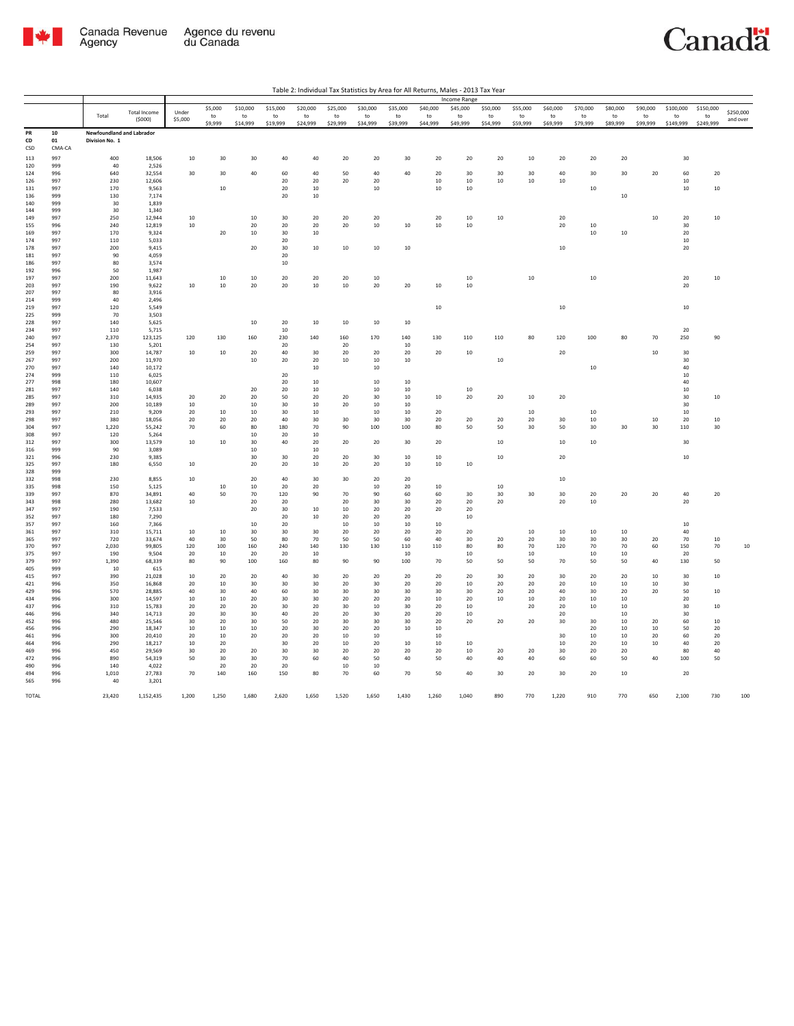

|            |              |                                  |                     |              |               |                |                |                |                |                |                 |                | <b>Income Range</b> |                 |                |                |                 |                |                |                       |                 |           |
|------------|--------------|----------------------------------|---------------------|--------------|---------------|----------------|----------------|----------------|----------------|----------------|-----------------|----------------|---------------------|-----------------|----------------|----------------|-----------------|----------------|----------------|-----------------------|-----------------|-----------|
|            |              |                                  | <b>Total Income</b> | Under        | \$5,000       | \$10,000       | \$15,000       | \$20,000       | \$25,000       | \$30,000       | \$35,000        | \$40,000       | \$45,000            | \$50,000        | \$55,000       | \$60,000       | \$70,000        | \$80,000       | \$90,000       | \$100,000             | \$150,000       | \$250,000 |
|            |              | Total                            | (5000)              | \$5,000      | to<br>\$9,999 | to<br>\$14,999 | to<br>\$19,999 | to<br>\$24,999 | to<br>\$29,999 | to<br>\$34,999 | to<br>\$39,999  | to<br>\$44,999 | to<br>\$49,999      | to<br>\$54,999  | to<br>\$59,999 | to<br>\$69,999 | to<br>\$79,999  | to<br>\$89,999 | to<br>\$99,999 | to<br>\$149,999       | to<br>\$249,999 | and over  |
| PR         | ${\bf 10}$   | <b>Newfoundland and Labrador</b> |                     |              |               |                |                |                |                |                |                 |                |                     |                 |                |                |                 |                |                |                       |                 |           |
| CD<br>CSD  | 01<br>CMA-CA | Division No. 1                   |                     |              |               |                |                |                |                |                |                 |                |                     |                 |                |                |                 |                |                |                       |                 |           |
| 113        | 997          | 400                              | 18,506              | 10           | 30            | 30             | 40             | 40             | 20             | 20             | $30\,$          | 20             | 20                  | 20              | 10             | $20\,$         | 20              | 20             |                | 30                    |                 |           |
| 120        | 999          | 40                               | 2,526               |              |               |                |                |                |                |                |                 |                |                     |                 |                |                |                 |                |                |                       |                 |           |
| 124        | 996          | 640                              | 32,554              | 30           | 30            | 40             | 60             | 40             | 50             | $40\,$         | $40\,$          | 20             | 30                  | 30              | 30             | 40             | 30              | 30             | 20             | 60                    | $20\,$          |           |
| 126        | 997          | 230                              | 12,606              |              |               |                | 20             | 20             | 20             | 20             |                 | 10             | $10\,$              | 10              | 10             | $10\,$         |                 |                |                | 10                    |                 |           |
| 131        | 997          | 170                              | 9,563               |              | 10            |                | 20             | 10             |                | 10             |                 | 10             | $10\,$              |                 |                |                | 10              |                |                | 10                    | $10\,$          |           |
| 136<br>140 | 999<br>999   | 130<br>30                        | 7,174<br>1,839      |              |               |                | 20             | 10             |                |                |                 |                |                     |                 |                |                |                 | $10\,$         |                |                       |                 |           |
| 144        | 999          | 30                               | 1.340               |              |               |                |                |                |                |                |                 |                |                     |                 |                |                |                 |                |                |                       |                 |           |
| 149        | 997          | 250                              | 12,944              | $10\,$       |               | $10\,$         | 30             | 20             | 20             | $20\,$         |                 | 20             | $10\,$              | $10\,$          |                | $20\,$         |                 |                | $10\,$         | $20\,$                | $10\,$          |           |
| 155        | 996          | 240                              | 12,819              | $10\,$       |               | 20             | 20             | 20             | 20             | $10\,$         | $10\,$          | $10\,$         | 10                  |                 |                | $20\,$         | $10\,$          |                |                | 30                    |                 |           |
| 169        | 997          | 170                              | 9,324               |              | $20\,$        | $10\,$         | 30             | 10             |                |                |                 |                |                     |                 |                |                | $10\,$          | $10\,$         |                | 20                    |                 |           |
| 174        | 997          | 110                              | 5,033               |              |               |                | 20             |                |                |                |                 |                |                     |                 |                |                |                 |                |                | 10 <sup>10</sup>      |                 |           |
| 178<br>181 | 997<br>997   | 200<br>90                        | 9,415<br>4,059      |              |               | 20             | 30<br>20       | 10             | $10\,$         | $10\,$         | $10\,$          |                |                     |                 |                | $10\,$         |                 |                |                | 20                    |                 |           |
| 186        | 997          | 80                               | 3,574               |              |               |                | 10             |                |                |                |                 |                |                     |                 |                |                |                 |                |                |                       |                 |           |
| 192        | 996          | 50                               | 1,987               |              |               |                |                |                |                |                |                 |                |                     |                 |                |                |                 |                |                |                       |                 |           |
| 197        | 997          | 200                              | 11,643              |              | 10            | 10             | 20             | 20             | 20             | 10             |                 |                | 10                  |                 | 10             |                | $10\,$          |                |                | 20                    | $10\,$          |           |
| 203        | 997          | 190                              | 9.622               | $10\,$       | $10\,$        | 20             | 20             | 10             | 10             | 20             | 20              | 10             | $10$                |                 |                |                |                 |                |                | 20                    |                 |           |
| 207        | 997          | 80                               | 3,916               |              |               |                |                |                |                |                |                 |                |                     |                 |                |                |                 |                |                |                       |                 |           |
| 214<br>219 | 999<br>997   | 40<br>120                        | 2,496<br>5,549      |              |               |                |                |                |                |                |                 | $10\,$         |                     |                 |                | $10\,$         |                 |                |                | $10\,$                |                 |           |
| 225        | 999          | 70                               | 3,503               |              |               |                |                |                |                |                |                 |                |                     |                 |                |                |                 |                |                |                       |                 |           |
| 228        | 997          | 140                              | 5,625               |              |               | 10             | 20             | 10             | 10             | 10             | 10              |                |                     |                 |                |                |                 |                |                |                       |                 |           |
| 234        | 997          | 110                              | 5,715               |              |               |                | 10             |                |                |                |                 |                |                     |                 |                |                |                 |                |                | 20                    |                 |           |
| 240        | 997          | 2,370                            | 123,125             | 120          | 130           | 160            | 230            | 140            | 160            | 170            | 140             | 130            | 110                 | 110             | 80             | 120            | 100             | 80             | 70             | 250                   | 90              |           |
| 254        | 997          | 130                              | 5,201               |              |               |                | 20             |                | 20             |                | $10\,$          |                |                     |                 |                |                |                 |                |                |                       |                 |           |
| 259<br>267 | 997<br>997   | 300<br>200                       | 14,787<br>11,970    | 10           | 10            | 20<br>10       | 40<br>20       | 30<br>20       | 20<br>10       | 20<br>10       | 20<br>$10\,$    | 20             | 10                  | 10              |                | 20             |                 |                | 10             | 30<br>30 <sub>o</sub> |                 |           |
| 270        | 997          | 140                              | 10,172              |              |               |                |                | 10             |                | $10\,$         |                 |                |                     |                 |                |                | $10\,$          |                |                | 40                    |                 |           |
| 274        | 999          | 110                              | 6,025               |              |               |                | 20             |                |                |                |                 |                |                     |                 |                |                |                 |                |                | 10                    |                 |           |
| 277        | 998          | 180                              | 10,607              |              |               |                | 20             | 10             |                | 10             | 10              |                |                     |                 |                |                |                 |                |                | 40                    |                 |           |
| 281        | 997          | 140                              | 6,038               |              |               | 20             | 20             | 10             |                | 10             | 10              |                | 10                  |                 |                |                |                 |                |                | 10                    |                 |           |
| 285        | 997          | 310                              | 14,935              | 20           | 20            | 20             | 50             | 20             | 20             | 30             | 10              | 10             | 20                  | 20              | 10             | 20             |                 |                |                | 30                    | 10              |           |
| 289        | 997          | 200                              | 10,189              | 10           |               | 10             | 30             | 10             | 20             | 10             | 10              |                |                     |                 |                |                |                 |                |                | 30                    |                 |           |
| 293<br>298 | 997<br>997   | 210<br>380                       | 9,209<br>18,056     | 20<br>20     | 10<br>20      | 10<br>20       | 30<br>40       | 10<br>30       | 30             | 10<br>30       | 10<br>30        | 20<br>20       | 20                  | 20              | 10<br>20       | 30             | 10<br>10        |                | 10             | 10<br>20              | $10\,$          |           |
| 304        | 997          | 1.220                            | 55,242              | 70           | 60            | 80             | 180            | 70             | 90             | 100            | 100             | 80             | 50                  | 50              | 30             | 50             | 30              | 30             | 30             | 110                   | 30              |           |
| 308        | 997          | 120                              | 5.264               |              |               | 10             | 20             | 10             |                |                |                 |                |                     |                 |                |                |                 |                |                |                       |                 |           |
| $312\,$    | 997          | 300                              | 13,579              | $10\,$       | $10\,$        | $30\,$         | 40             | 20             | 20             | $20\,$         | $30\,$          | 20             |                     | $10\,$          |                | $10\,$         | 10              |                |                | 30                    |                 |           |
| 316        | 999          | 90                               | 3,089               |              |               | 10             |                | 10             |                |                |                 |                |                     |                 |                |                |                 |                |                |                       |                 |           |
| 321        | 996          | 230                              | 9.385               |              |               | 30             | 30             | 20             | 20             | 30             | $10\,$          | 10             |                     | $10\,$          |                | 20             |                 |                |                | $10\,$                |                 |           |
| 325<br>328 | 997<br>999   | 180                              | 6,550               | $10\,$       |               | 20             | 20             | 10             | 20             | 20             | $10\,$          | $10\,$         | 10                  |                 |                |                |                 |                |                |                       |                 |           |
| 332        | 998          | 230                              | 8.855               | $10\,$       |               | 20             | 40             | 30             | 30             | 20             | 20              |                |                     |                 |                | $10\,$         |                 |                |                |                       |                 |           |
| 335        | 998          | 150                              | 5,125               |              | 10            | 10             | 20             | 20             |                | 10             | 20              | 10             |                     | $10\,$          |                |                |                 |                |                |                       |                 |           |
| 339        | 997          | 870                              | 34,891              | 40           | 50            | 70             | 120            | 90             | 70             | 90             | 60              | 60             | 30                  | 30              | 30             | 30             | 20              | 20             | 20             | 40                    | 20              |           |
| 343        | 998          | 280                              | 13,682              | 10           |               | 20             | 20             |                | 20             | 30             | $30^{\circ}$    | 20             | 20                  | 20 <sup>2</sup> |                | 20             | 10              |                |                | 20                    |                 |           |
| 347        | 997          | 190                              | 7,533               |              |               | 20             | 30             | 10             | 10             | 20             | 20              | 20             | 20                  |                 |                |                |                 |                |                |                       |                 |           |
| 352<br>357 | 997<br>997   | 180<br>160                       | 7,290<br>7,366      |              |               | 10             | 20<br>20       | $10\,$         | 20<br>10       | 20<br>10       | 20<br>10        | 10             | $10\,$              |                 |                |                |                 |                |                | 10 <sup>10</sup>      |                 |           |
| 361        | 997          | 310                              | 15,711              | $10\,$       | 10            | 30             | 30             | 30             | 20             | 20             | 20              | 20             | $20\,$              |                 | 10             | $10\,$         | 10              | $10\,$         |                | 40                    |                 |           |
| 365        | 997          | 720                              | 33,674              | 40           | 30            | 50             | 80             | 70             | 50             | 50             | 60              | 40             | 30                  | 20              | 20             | 30             | 30              | 30             | 20             | 70                    | 10              |           |
| 370        | 997          | 2,030                            | 99,805              | 120          | 100           | 160            | 240            | 140            | 130            | 130            | 110             | 110            | 80                  | 80              | 70             | 120            | 70              | 70             | 60             | 150                   | 70              | $10\,$    |
| 375        | 997          | 190                              | 9.504               | 20           | 10            | 20             | 20             | 10             |                |                | $10\,$          |                | 10                  |                 | 10             |                | 10              | 10             |                | 20                    |                 |           |
| 379<br>405 | 997<br>999   | 1,390<br>10                      | 68,339<br>615       | 80           | 90            | 100            | 160            | 80             | 90             | 90             | 100             | 70             | 50                  | 50              | 50             | 70             | 50              | 50             | 40             | 130                   | 50              |           |
| 415        | 997          | 390                              | 21,028              | 10           | 20            | 20             | 40             | 30             | 20             | 20             | 20              | 20             | 20                  | 30              | 20             | 30             | 20              | 20             | 10             | 30 <sub>o</sub>       | 10              |           |
| 421        | 996          | 350                              | 16,868              | 20           | 10            | 30             | 30             | 30             | 20             | 30             | 20              | 20             | $10\,$              | 20              | 20             | $20\,$         | 10              | 10             | $10\,$         | 30                    |                 |           |
| 429        | 996          | 570                              | 28,885              | 40           | 30            | 40             | 60             | 30             | 30             | 30             | 30              | 30             | 30                  | 20              | 20             | 40             | 30              | 20             | 20             | 50                    | 10              |           |
| 434        | 996          | 300                              | 14.597              | 10           | 10            | 20             | 30             | 30             | 20             | 20             | 20 <sup>2</sup> | 10             | 20                  | 10              | 10             | 20             | 10 <sup>1</sup> | 10             |                | 20 <sup>2</sup>       |                 |           |
| 437        | 996          | 310                              | 15,783              | 20           | $20\,$        | $20\,$         | 30             | 20             | 30             | $10\,$         | 30              | 20             | $10\,$              |                 | 20             | 20             | $10\,$          | $10\,$         |                | 30                    | $10\,$          |           |
| 446        | 996          | 340                              | 14,713              | 20           | 30            | 30             | 40             | 20             | 20             | 30             | 20              | 20             | 10                  |                 |                | 20             |                 | 10             |                | 30                    |                 |           |
| 452<br>456 | 996<br>996   | 480<br>290                       | 25.546<br>18,347    | 30<br>$10\,$ | 20<br>10      | 30<br>10       | 50<br>20       | 20<br>30       | 30<br>20       | 30<br>20       | 30<br>$10\,$    | 20<br>10       | 20                  | 20              | 20             | 30             | 30<br>20        | 10<br>$10\,$   | 20<br>10       | 60<br>50              | 10<br>20        |           |
| 461        | 996          | 300                              | 20,410              | 20           | 10            | 20             | 20             | 20             | 10             | 10             |                 | 10             |                     |                 |                | 30             | 10              | 10             | 20             | 60                    | 20              |           |
| 464        | 996          | 290                              | 18,217              | 10           | 20            |                | 30             | 20             | 10             | 20             | 10              | 10             | 10                  |                 |                | 10             | 20              | 10             | 10             | 40                    | $20\,$          |           |
| 469        | 996          | 450                              | 29,569              | 30           | 20            | 20             | 30             | 30             | 20             | 20             | 20              | 20             | 10                  | 20              | 20             | 30             | 20              | 20             |                | 80                    | 40              |           |
| 472        | 996          | 890                              | 54,319              | 50           | 30            | 30             | 70             | 60             | 40             | 50             | 40              | 50             | 40                  | 40              | 40             | 60             | 60              | 50             | 40             | 100                   | 50              |           |
| 490        | 996          | 140                              | 4,022               |              | 20            | 20             | 20             |                | $10\,$         | 10             |                 |                |                     |                 |                |                |                 |                |                |                       |                 |           |
| 494<br>565 | 996<br>996   | 1,010<br>40                      | 27,783<br>3,201     | 70           | 140           | 160            | 150            | 80             | 70             | 60             | 70              | 50             | 40                  | 30              | 20             | 30             | 20              | 10             |                | 20                    |                 |           |
|            |              |                                  |                     |              |               |                |                |                |                |                |                 |                |                     |                 |                |                |                 |                |                |                       |                 |           |
| TOTAL      |              | 23,420                           | 1,152,435           | 1,200        | 1,250         | 1,680          | 2,620          | 1,650          | 1,520          | 1,650          | 1,430           | 1,260          | 1,040               | 890             | 770            | 1,220          | 910             | 770            | 650            | 2,100                 | 730             | 100       |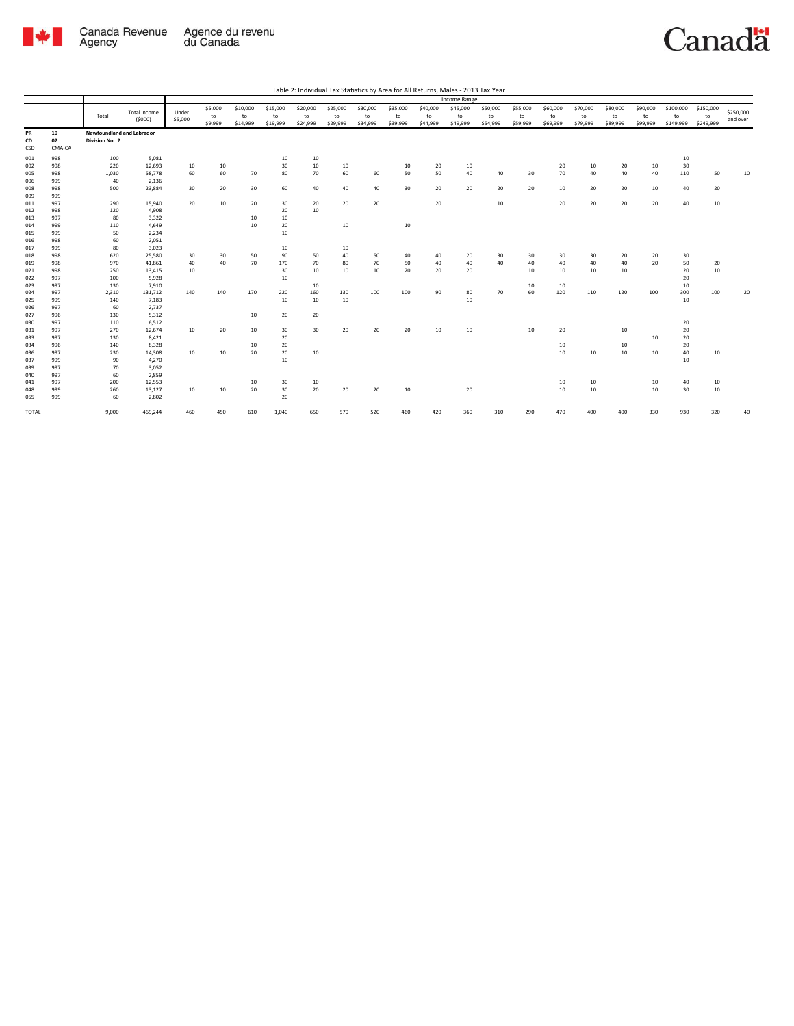

|       |        |                           |                     |         |         |          |          |          |          |          |          |          | <b>Income Range</b> |          |          |          |          |          |          |           |           |           |
|-------|--------|---------------------------|---------------------|---------|---------|----------|----------|----------|----------|----------|----------|----------|---------------------|----------|----------|----------|----------|----------|----------|-----------|-----------|-----------|
|       |        |                           |                     |         | \$5,000 | \$10,000 | \$15,000 | \$20,000 | \$25,000 | \$30,000 | \$35,000 | \$40,000 | \$45,000            | \$50,000 | \$55,000 | \$60,000 | \$70,000 | \$80,000 | \$90,000 | \$100,000 | \$150,000 | \$250,000 |
|       |        | Total                     | <b>Total Income</b> | Under   | to      | to       | to       | to       | to       | to       | to       | to       | to                  | to       | to       | to       | to       | to       | to       | to        | to        |           |
|       |        |                           | (5000)              | \$5,000 | \$9,999 | \$14,999 | \$19,999 | \$24,999 | \$29,999 | \$34,999 | \$39,999 | \$44,999 | \$49,999            | \$54,999 | \$59,999 | \$69,999 | \$79,999 | \$89,999 | \$99,999 | \$149,999 | \$249,999 | and over  |
| PR    | 10     | Newfoundland and Labrador |                     |         |         |          |          |          |          |          |          |          |                     |          |          |          |          |          |          |           |           |           |
| CD    | 02     | Division No. 2            |                     |         |         |          |          |          |          |          |          |          |                     |          |          |          |          |          |          |           |           |           |
| CSD   | CMA-CA |                           |                     |         |         |          |          |          |          |          |          |          |                     |          |          |          |          |          |          |           |           |           |
| 001   | 998    | 100                       | 5,081               |         |         |          | 10       | 10       |          |          |          |          |                     |          |          |          |          |          |          | 10        |           |           |
| 002   | 998    | 220                       | 12,693              | 10      | 10      |          | 30       | 10       | 10       |          | 10       | 20       | 10                  |          |          | 20       | 10       | 20       | 10       | 30        |           |           |
| 005   | 998    | 1,030                     | 58,778              | 60      | 60      | 70       | 80       | 70       | 60       | 60       | 50       | 50       | 40                  | 40       | 30       | 70       | 40       | 40       | 40       | 110       | 50        | 10        |
| 006   | 999    | 40                        | 2,136               |         |         |          |          |          |          |          |          |          |                     |          |          |          |          |          |          |           |           |           |
| 008   | 998    | 500                       | 23,884              | 30      | 20      | 30       | 60       | 40       | 40       | 40       | 30       | 20       | 20                  | 20       | 20       | 10       | 20       | 20       | 10       | 40        | 20        |           |
| 009   | 999    |                           |                     |         |         |          |          |          |          |          |          |          |                     |          |          |          |          |          |          |           |           |           |
| 011   | 997    | 290                       | 15,940              | 20      | 10      | 20       | 30       | 20       | 20       | 20       |          | 20       |                     | 10       |          | 20       | 20       | 20       | 20       | 40        | 10        |           |
| 012   | 998    | 120                       | 4,908               |         |         |          | 20       | 10       |          |          |          |          |                     |          |          |          |          |          |          |           |           |           |
| 013   | 997    | 80                        | 3,322               |         |         | 10       | 10       |          |          |          |          |          |                     |          |          |          |          |          |          |           |           |           |
| 014   | 999    | 110                       | 4,649               |         |         | 10       | 20       |          | 10       |          | 10       |          |                     |          |          |          |          |          |          |           |           |           |
| 015   | 999    | 50                        | 2,234               |         |         |          | 10       |          |          |          |          |          |                     |          |          |          |          |          |          |           |           |           |
| 016   | 998    | 60                        | 2,051               |         |         |          |          |          |          |          |          |          |                     |          |          |          |          |          |          |           |           |           |
| 017   | 999    | 80                        | 3,023               |         |         |          | 10       |          | 10       |          |          |          |                     |          |          |          |          |          |          |           |           |           |
| 018   | 998    | 620                       | 25,580              | 30      | 30      | 50       | 90       | 50       | 40       | 50       | 40       | 40       | 20                  | 30       | 30       | 30       | 30       | 20       | 20       | 30        |           |           |
| 019   | 998    | 970                       | 41,861              | 40      | 40      | 70       | 170      | 70       | 80       | 70       | 50       | 40       | 40                  | 40       | 40       | 40       | 40       | 40       | 20       | 50        | 20        |           |
| 021   | 998    | 250                       | 13,415              | 10      |         |          | 30       | 10       | 10       | 10       | 20       | 20       | 20                  |          | 10       | 10       | 10       | 10       |          | 20        | 10        |           |
| 022   | 997    | 100                       | 5,928               |         |         |          | 10       |          |          |          |          |          |                     |          |          |          |          |          |          | 20        |           |           |
| 023   | 997    | 130                       | 7,910               |         |         |          |          | 10       |          |          |          |          |                     |          | 10       | 10       |          |          |          | 10        |           |           |
| 024   | 997    | 2,310                     | 131,712             | 140     | 140     | 170      | 220      | 160      | 130      | 100      | 100      | 90       | 80                  | 70       | 60       | 120      | 110      | 120      | 100      | 300       | 100       | 20        |
| 025   | 999    | 140                       | 7,183               |         |         |          | 10       | 10       | 10       |          |          |          | 10                  |          |          |          |          |          |          | 10        |           |           |
| 026   | 997    | 60                        | 2,737               |         |         |          |          |          |          |          |          |          |                     |          |          |          |          |          |          |           |           |           |
| 027   | 996    | 130                       | 5,312               |         |         | 10       | 20       | 20       |          |          |          |          |                     |          |          |          |          |          |          |           |           |           |
| 030   | 997    | 110                       | 6,512               |         |         |          |          |          |          |          |          |          |                     |          |          |          |          |          |          | 20        |           |           |
| 031   | 997    | 270                       | 12,674              | 10      | 20      | 10       | 30       | 30       | 20       | 20       | 20       | 10       | 10                  |          | 10       | 20       |          | 10       |          | 20        |           |           |
| 033   | 997    | 130                       | 8,421               |         |         |          | 20       |          |          |          |          |          |                     |          |          |          |          |          | 10       | 20        |           |           |
| 034   | 996    | 140                       | 8,328               |         |         | 10       | 20       |          |          |          |          |          |                     |          |          | 10       |          | 10       |          | 20        |           |           |
| 036   | 997    | 230                       | 14,308              | 10      | 10      | 20       | 20       | 10       |          |          |          |          |                     |          |          | 10       | 10       | 10       | 10       | 40        | 10        |           |
| 037   | 999    | 90                        | 4,270               |         |         |          | 10       |          |          |          |          |          |                     |          |          |          |          |          |          | 10        |           |           |
| 039   | 997    | 70                        | 3,052               |         |         |          |          |          |          |          |          |          |                     |          |          |          |          |          |          |           |           |           |
| 040   | 997    | 60                        | 2,859               |         |         |          |          |          |          |          |          |          |                     |          |          |          |          |          |          |           |           |           |
| 041   | 997    | 200                       | 12,553              |         |         | 10       | 30       | 10       |          |          |          |          |                     |          |          | 10       | 10       |          | 10       | 40        | 10        |           |
| 048   | 999    | 260                       | 13,127              | 10      | 10      | 20       | 30       | 20       | 20       | 20       | 10       |          | 20                  |          |          | 10       | 10       |          | 10       | 30        | $10\,$    |           |
| 055   | 999    | 60                        | 2,802               |         |         |          | 20       |          |          |          |          |          |                     |          |          |          |          |          |          |           |           |           |
| TOTAL |        | 9,000                     | 469,244             | 460     | 450     | 610      | 1,040    | 650      | 570      | 520      | 460      | 420      | 360                 | 310      | 290      | 470      | 400      | 400      | 330      | 930       | 320       | 40        |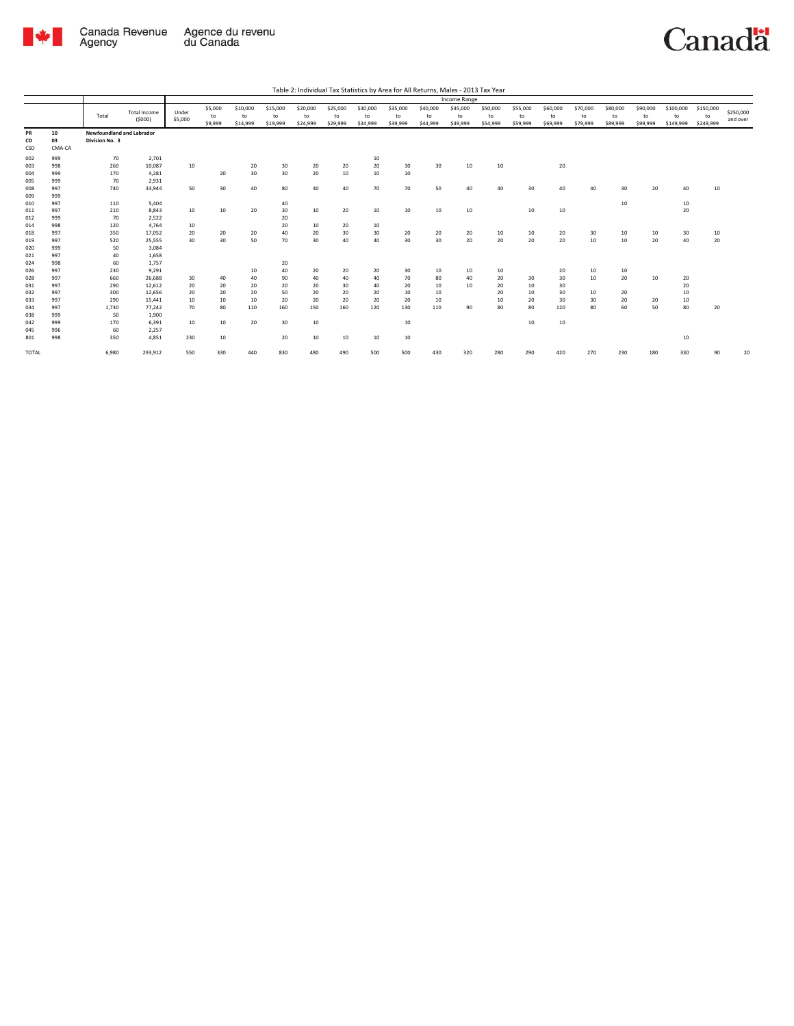

|       |        |                           |                     |         |         |          |          |          |          |          |          |                 | Income Range |          |          |          |          |                  |          |           |           |           |
|-------|--------|---------------------------|---------------------|---------|---------|----------|----------|----------|----------|----------|----------|-----------------|--------------|----------|----------|----------|----------|------------------|----------|-----------|-----------|-----------|
|       |        |                           |                     |         | \$5,000 | \$10,000 | \$15,000 | \$20,000 | \$25,000 | \$30,000 | \$35,000 | \$40,000        | \$45,000     | \$50,000 | \$55,000 | \$60,000 | \$70,000 | \$80,000         | \$90,000 | \$100,000 | \$150,000 |           |
|       |        | Total                     | <b>Total Income</b> | Under   | to      | to       | to       | to       | to       | to       | to       | to              | to           | to       | to       | to       | to       | to               | to       | to        | to        | \$250,000 |
|       |        |                           | (5000)              | \$5,000 | \$9,999 | \$14,999 | \$19,999 | \$24,999 | \$29,999 | \$34,999 | \$39,999 | \$44,999        | \$49,999     | \$54,999 | \$59,999 | \$69,999 | \$79,999 | \$89,999         | \$99,999 | \$149,999 | \$249,999 | and over  |
| PR    | 10     | Newfoundland and Labrador |                     |         |         |          |          |          |          |          |          |                 |              |          |          |          |          |                  |          |           |           |           |
| CD    | 03     | Division No. 3            |                     |         |         |          |          |          |          |          |          |                 |              |          |          |          |          |                  |          |           |           |           |
| CSD   | CMA-CA |                           |                     |         |         |          |          |          |          |          |          |                 |              |          |          |          |          |                  |          |           |           |           |
| 002   | 999    | 70                        | 2,701               |         |         |          |          |          |          | 10       |          |                 |              |          |          |          |          |                  |          |           |           |           |
| 003   | 998    | 260                       | 10,087              | 10      |         | 20       | 30       | 20       | 20       | 20       | 30       | 30              | 10           | 10       |          | 20       |          |                  |          |           |           |           |
| 004   | 999    | 170                       | 4,281               |         | 20      | 30       | 30       | 20       | 10       | 10       | 10       |                 |              |          |          |          |          |                  |          |           |           |           |
| 005   | 999    | 70                        | 2,931               |         |         |          |          |          |          |          |          |                 |              |          |          |          |          |                  |          |           |           |           |
| 008   | 997    | 740                       | 33,944              | 50      | 30      | 40       | 80       | 40       | 40       | 70       | 70       | 50              | 40           | 40       | 30       | 40       | 40       | 30               | 20       | 40        | 10        |           |
| 009   | 999    |                           |                     |         |         |          |          |          |          |          |          |                 |              |          |          |          |          |                  |          |           |           |           |
| 010   | 997    | 110                       | 5,404               |         |         |          | 40       |          |          |          |          |                 |              |          |          |          |          | 10 <sup>10</sup> |          | 10        |           |           |
| 011   | 997    | 210                       | 8,843               | 10      | 10      | 20       | 30       | 10       | 20       | 10       | 10       | 10              | 10           |          | 10       | 10       |          |                  |          | 20        |           |           |
| 012   | 999    | 70                        | 2,522               |         |         |          | 20       |          |          |          |          |                 |              |          |          |          |          |                  |          |           |           |           |
| 014   | 998    | 120                       | 4,764               | 10      |         |          | 20       | 10       | 20       | 10       |          |                 |              |          |          |          |          |                  |          |           |           |           |
| 018   | 997    | 350                       | 17,052              | 20      | 20      | 20       | 40       | 20       | 30       | 30       | 20       | 20              | 20           | 10       | 10       | 20       | 30       | 10               | 10       | 30        | 10        |           |
| 019   | 997    | 520                       | 25,555              | 30      | 30      | 50       | 70       | 30       | 40       | 40       | 30       | 30 <sup>2</sup> | 20           | 20       | 20       | 20       | 10       | 10               | 20       | 40        | 20        |           |
| 020   | 999    | 50                        | 3,084               |         |         |          |          |          |          |          |          |                 |              |          |          |          |          |                  |          |           |           |           |
| 021   | 997    | 40                        | 1,658               |         |         |          |          |          |          |          |          |                 |              |          |          |          |          |                  |          |           |           |           |
| 024   | 998    | 60                        | 1,757               |         |         |          | 20       |          |          |          |          |                 |              |          |          |          |          |                  |          |           |           |           |
| 026   | 997    | 230                       | 9,291               |         |         | 10       | 40       | 20       | 20       | 20       | 30       | 10              | 10           | 10       |          | 20       | 10       | 10               |          |           |           |           |
| 028   | 997    | 660                       | 26,688              | 30      | 40      | 40       | 90       | 40       | 40       | 40       | 70       | 80              | 40           | 20       | 30       | 30       | 10       | 20               | 10       | 20        |           |           |
| 031   | 997    | 290                       | 12,612              | 20      | 20      | 20       | 20       | 20       | 30       | 40       | 20       | 10              | 10           | 20       | 10       | 30       |          |                  |          | 20        |           |           |
| 032   | 997    | 300                       | 12,656              | 20      | 20      | 20       | 50       | 20       | 20       | 20       | 10       | 10              |              | 20       | 10       | 30       | 10       | 20               |          | 10        |           |           |
| 033   | 997    | 290                       | 15.441              | 10      | 10      | 10       | 20       | 20       | 20       | 20       | 20       | 10              |              | 10       | 20       | 30       | 30       | 20               | 20       | 10        |           |           |
| 034   | 997    | 1.730                     | 77.242              | 70      | 80      | 110      | 160      | 150      | 160      | 120      | 130      | 110             | 90           | 80       | 80       | 120      | 80       | 60               | 50       | 80        | 20        |           |
| 038   | 999    | 50                        | 1,900               |         |         |          |          |          |          |          |          |                 |              |          |          |          |          |                  |          |           |           |           |
| 042   | 999    | 170                       | 6,391               | 10      | $10\,$  | 20       | 30       | 10       |          |          | 10       |                 |              |          | 10       | 10       |          |                  |          |           |           |           |
| 045   | 996    | 60                        | 2,257               |         |         |          |          |          |          |          |          |                 |              |          |          |          |          |                  |          |           |           |           |
| 801   | 998    | 350                       | 4,851               | 230     | 10      |          | 20       | 10       | 10       | 10       | 10       |                 |              |          |          |          |          |                  |          | 10        |           |           |
| TOTAL |        | 6.980                     | 293,912             | 550     | 330     | 440      | 830      | 480      | 490      | 500      | 500      | 430             | 320          | 280      | 290      | 420      | 270      | 230              | 180      | 330       | 90        | 20        |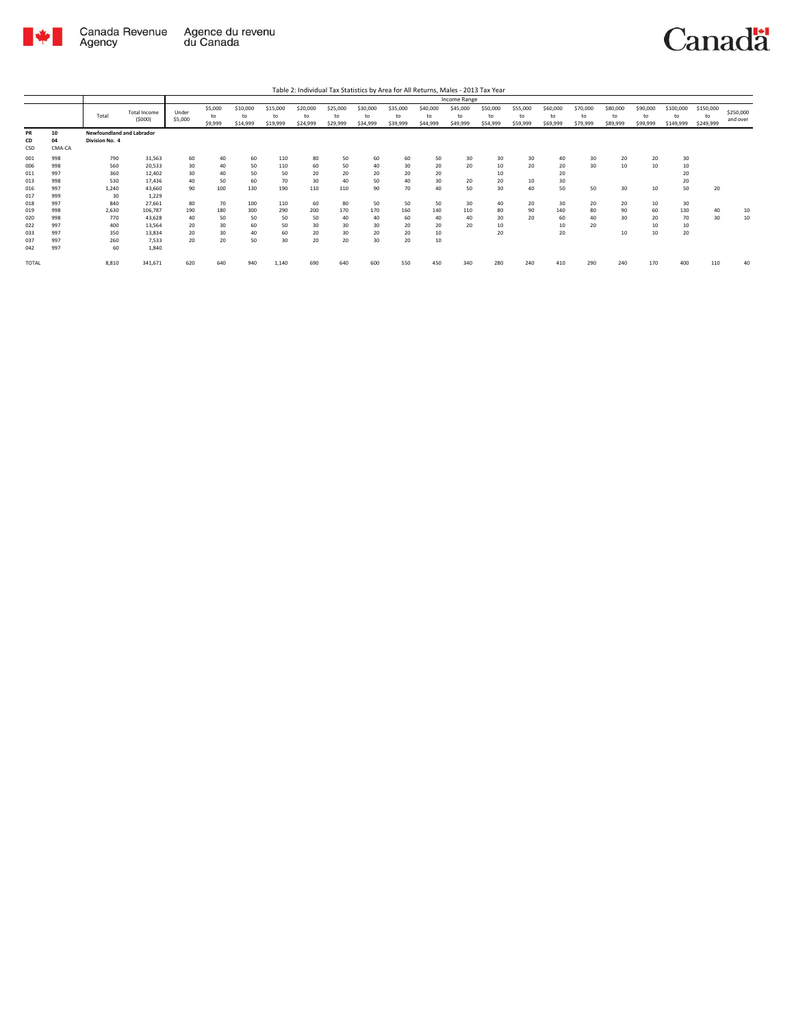

|                                               |                                               |                                                |                                                                   |                                  |                                   |                                    |                                      |                                   |                                   |                                  |                                  |                                  | Income Range               |                                  |                            |                                  |                            |                            |                            |                                  |                              |                       |
|-----------------------------------------------|-----------------------------------------------|------------------------------------------------|-------------------------------------------------------------------|----------------------------------|-----------------------------------|------------------------------------|--------------------------------------|-----------------------------------|-----------------------------------|----------------------------------|----------------------------------|----------------------------------|----------------------------|----------------------------------|----------------------------|----------------------------------|----------------------------|----------------------------|----------------------------|----------------------------------|------------------------------|-----------------------|
|                                               |                                               | Total                                          | <b>Total Income</b><br>(5000)                                     | Under<br>\$5,000                 | \$5,000<br>to<br>\$9,999          | \$10,000<br>to<br>\$14,999         | \$15,000<br>to<br>\$19,999           | \$20,000<br>to<br>\$24,999        | \$25,000<br>to<br>\$29,999        | \$30,000<br>to<br>\$34,999       | \$35,000<br>to<br>\$39,999       | \$40,000<br>to<br>\$44,999       | \$45,000<br>to<br>\$49,999 | \$50,000<br>to<br>\$54,999       | \$55,000<br>to<br>\$59,999 | \$60,000<br>to<br>\$69,999       | \$70,000<br>to<br>\$79,999 | \$80,000<br>to<br>\$89,999 | \$90,000<br>to<br>\$99,999 | \$100,000<br>to<br>\$149,999     | \$150,000<br>to<br>\$249,999 | \$250,000<br>and over |
| PR<br>CD<br>CSD                               | 10<br>04<br>CMA-CA                            | Newfoundland and Labrador<br>Division No. 4    |                                                                   |                                  |                                   |                                    |                                      |                                   |                                   |                                  |                                  |                                  |                            |                                  |                            |                                  |                            |                            |                            |                                  |                              |                       |
| 001<br>006<br>011<br>013<br>016<br>017<br>018 | 998<br>998<br>997<br>998<br>997<br>999<br>997 | 790<br>560<br>360<br>530<br>1.240<br>30<br>840 | 31,563<br>20,533<br>12,402<br>17,436<br>43.660<br>1.229<br>27,661 | 60<br>30<br>30<br>40<br>90<br>80 | 40<br>40<br>40<br>50<br>100<br>70 | 60<br>50<br>50<br>60<br>130<br>100 | 110<br>110<br>50<br>70<br>190<br>110 | 80<br>60<br>20<br>30<br>110<br>60 | 50<br>50<br>20<br>40<br>110<br>80 | 60<br>40<br>20<br>50<br>90<br>50 | 60<br>30<br>20<br>40<br>70<br>50 | 50<br>20<br>20<br>30<br>40<br>50 | 30<br>20<br>20<br>50<br>30 | 30<br>10<br>10<br>20<br>30<br>40 | 30<br>20<br>10<br>40<br>20 | 40<br>20<br>20<br>30<br>50<br>30 | 30<br>30<br>50<br>20       | 20<br>10<br>30<br>20       | 20<br>10<br>10<br>10       | 30<br>10<br>20<br>20<br>50<br>30 | 20                           |                       |
| 019<br>020<br>022<br>033<br>037<br>042        | 998<br>998<br>997<br>997<br>997<br>997        | 2,630<br>770<br>400<br>350<br>260<br>60        | 106,787<br>43,628<br>13.564<br>13,834<br>7.533<br>1.840           | 190<br>40<br>20<br>20<br>20      | 180<br>50<br>30<br>30<br>20       | 300<br>50<br>60<br>40<br>50        | 290<br>50<br>50<br>60<br>30          | 200<br>50<br>30<br>20<br>20       | 170<br>40<br>30<br>30<br>20       | 170<br>40<br>30<br>20<br>30      | 160<br>60<br>20<br>20<br>20      | 140<br>40<br>20<br>10<br>10      | 110<br>40<br>20            | 80<br>30<br>10<br>20             | 90<br>20                   | 140<br>60<br>10<br>20            | 80<br>40<br>20             | 90<br>30<br>10             | 60<br>20<br>10<br>10       | 130<br>70<br>10<br>20            | 40<br>30                     | 10<br>10              |
| <b>TOTAL</b>                                  |                                               | 8,810                                          | 341,671                                                           | 620                              | 640                               | 940                                | 1,140                                | 690                               | 640                               | 600                              | 550                              | 450                              | 340                        | 280                              | 240                        | 410                              | 290                        | 240                        | 170                        | 400                              | 110                          | 40                    |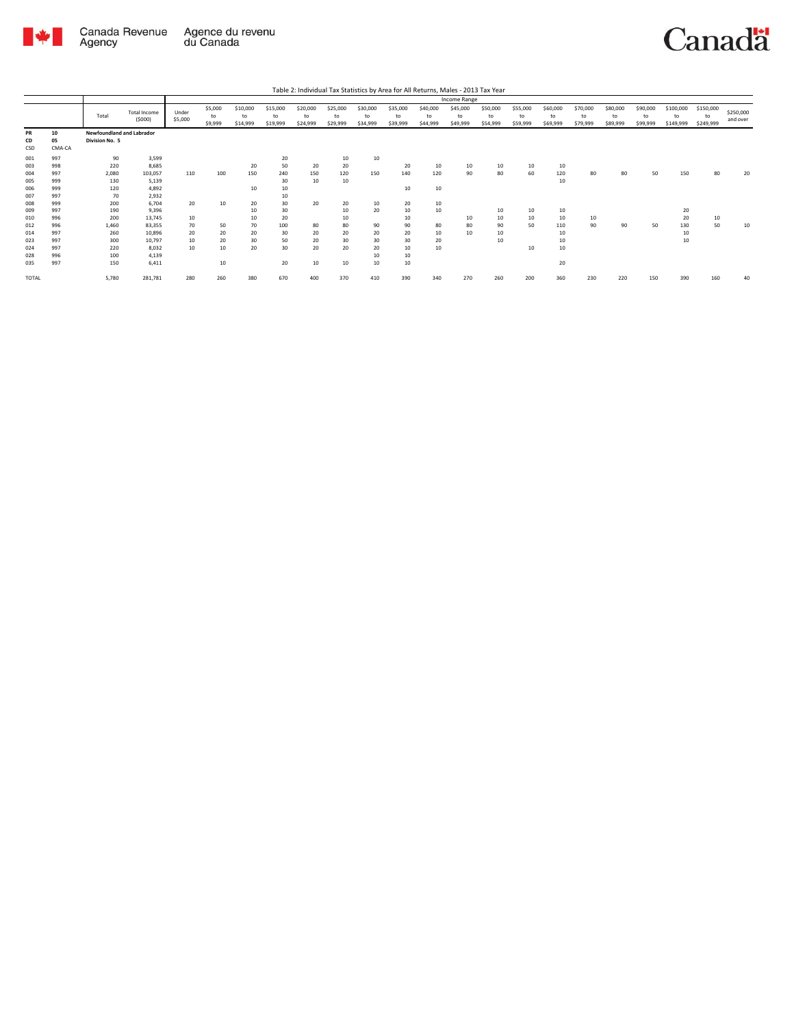

|              |        |                           |                               |                  |                          |                            |                            |                            |                            |                            |                            |                            | Income Range               |                            |                            |                            |                            |                            |                            |                              |                              |                       |
|--------------|--------|---------------------------|-------------------------------|------------------|--------------------------|----------------------------|----------------------------|----------------------------|----------------------------|----------------------------|----------------------------|----------------------------|----------------------------|----------------------------|----------------------------|----------------------------|----------------------------|----------------------------|----------------------------|------------------------------|------------------------------|-----------------------|
|              |        | Total                     | <b>Total Income</b><br>(5000) | Under<br>\$5,000 | \$5,000<br>to<br>\$9,999 | \$10,000<br>to<br>\$14,999 | \$15,000<br>to<br>\$19,999 | \$20,000<br>to<br>\$24,999 | \$25,000<br>to<br>\$29,999 | \$30,000<br>to<br>\$34,999 | \$35,000<br>to<br>\$39,999 | \$40,000<br>to<br>\$44,999 | \$45,000<br>to<br>\$49,999 | \$50,000<br>to<br>\$54,999 | \$55,000<br>to<br>\$59,999 | \$60,000<br>to<br>\$69,999 | \$70,000<br>to<br>\$79,999 | \$80,000<br>to<br>\$89,999 | \$90,000<br>to<br>\$99,999 | \$100,000<br>to<br>\$149,999 | \$150,000<br>to<br>\$249,999 | \$250,000<br>and over |
| PR           | 10     | Newfoundland and Labrador |                               |                  |                          |                            |                            |                            |                            |                            |                            |                            |                            |                            |                            |                            |                            |                            |                            |                              |                              |                       |
| CD           | 05     | Division No. 5            |                               |                  |                          |                            |                            |                            |                            |                            |                            |                            |                            |                            |                            |                            |                            |                            |                            |                              |                              |                       |
| CSD          | CMA-CA |                           |                               |                  |                          |                            |                            |                            |                            |                            |                            |                            |                            |                            |                            |                            |                            |                            |                            |                              |                              |                       |
| 001          | 997    | 90                        | 3.599                         |                  |                          |                            | 20                         |                            | 10                         | 10                         |                            |                            |                            |                            |                            |                            |                            |                            |                            |                              |                              |                       |
| 003          | 998    | 220                       | 8,685                         |                  |                          | 20                         | 50                         | 20                         | 20                         |                            | 20                         | 10                         | 10                         | 10                         | 10                         | 10                         |                            |                            |                            |                              |                              |                       |
| 004          | 997    | 2,080                     | 103,057                       | 110              | 100                      | 150                        | 240                        | 150                        | 120                        | 150                        | 140                        | 120                        | 90                         | 80                         | 60                         | 120                        | 80                         | 80                         | 50                         | 150                          | 80                           | 20                    |
| 005          | 999    | 130                       | 5,139                         |                  |                          |                            | 30                         | 10                         | 10                         |                            |                            |                            |                            |                            |                            | 10                         |                            |                            |                            |                              |                              |                       |
| 006          | 999    | 120                       | 4.892                         |                  |                          | 10                         | 10                         |                            |                            |                            | 10                         | 10                         |                            |                            |                            |                            |                            |                            |                            |                              |                              |                       |
| 007          | 997    | 70                        | 2.932                         |                  |                          |                            | 10                         |                            |                            |                            |                            |                            |                            |                            |                            |                            |                            |                            |                            |                              |                              |                       |
| 008          | 999    | 200                       | 6.704                         | 20               | 10                       | 20                         | 30                         | 20                         | 20                         | 10                         | 20                         | 10                         |                            |                            |                            |                            |                            |                            |                            |                              |                              |                       |
| 009          | 997    | 190                       | 9,396                         |                  |                          | 10                         | 30                         |                            | 10                         | 20                         | 10                         | 10                         |                            | 10                         | 10                         | 10                         |                            |                            |                            | 20                           |                              |                       |
| 010          | 996    | 200                       | 13.745                        | 10               |                          | 10                         | 20                         |                            | 10                         |                            | 10                         |                            | 10                         | 10                         | 10                         | 10                         | 10                         |                            |                            | 20                           | 10                           |                       |
| 012          | 996    | 1,460                     | 83,355                        | 70               | 50                       | 70                         | 100                        | 80                         | 80                         | 90                         | 90                         | 80                         | 80                         | 90                         | 50                         | 110                        | 90                         | 90                         | 50                         | 130                          | 50                           | 10                    |
| 014          | 997    | 260                       | 10.896                        | 20               | 20                       | 20                         | 30                         | 20                         | 20                         | 20                         | 20                         | 10                         | 10                         | 10                         |                            | 10                         |                            |                            |                            | 10                           |                              |                       |
| 023          | 997    | 300                       | 10.797                        | 10               | 20                       | 30                         | 50                         | 20                         | 30                         | 30                         | 30                         | 20                         |                            | 10                         |                            | 10                         |                            |                            |                            | 10                           |                              |                       |
| 024          | 997    | 220                       | 8.032                         | 10               | 10                       | 20                         | 30                         | 20                         | 20                         | 20                         | 10                         | 10                         |                            |                            | 10                         | 10                         |                            |                            |                            |                              |                              |                       |
| 028          | 996    | 100                       | 4.139                         |                  |                          |                            |                            |                            |                            | 10                         | 10                         |                            |                            |                            |                            |                            |                            |                            |                            |                              |                              |                       |
| 035          | 997    | 150                       | 6,411                         |                  | 10                       |                            | 20                         | 10                         | 10                         | 10                         | 10                         |                            |                            |                            |                            | 20                         |                            |                            |                            |                              |                              |                       |
| <b>TOTAL</b> |        | 5,780                     | 281,781                       | 280              | 260                      | 380                        | 670                        | 400                        | 370                        | 410                        | 390                        | 340                        | 270                        | 260                        | 200                        | 360                        | 230                        | 220                        | 150                        | 390                          | 160                          | 40                    |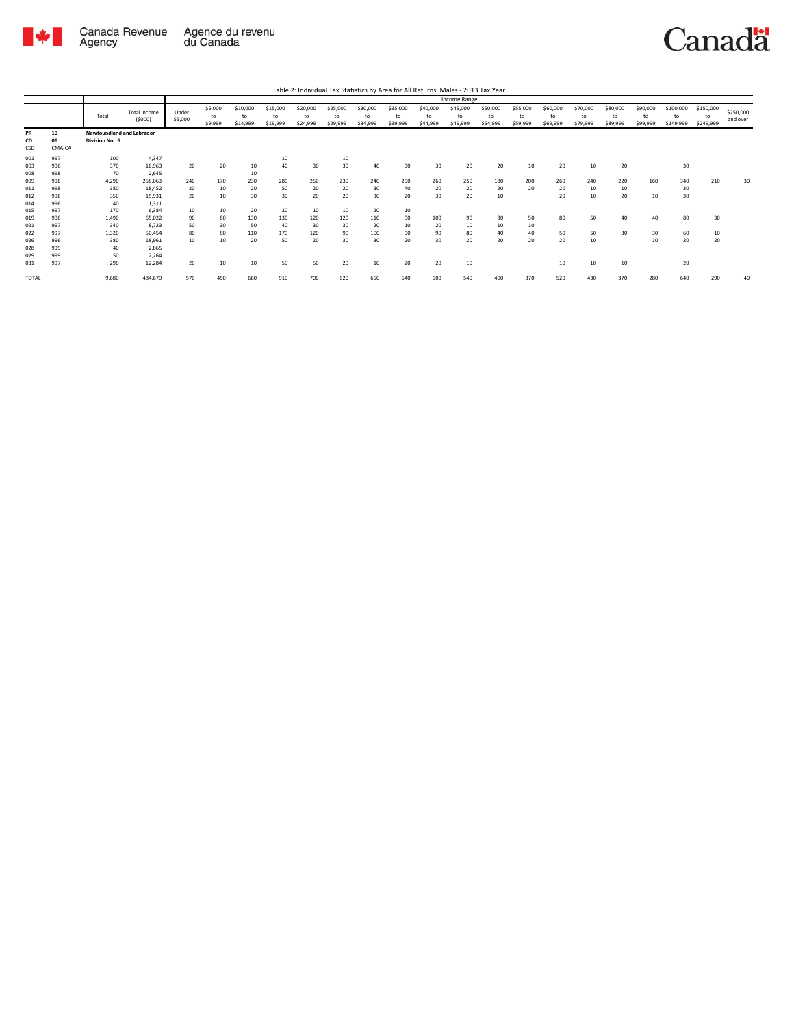

|                                        |                                        |                                             |                                                       |                                          |                            |                              |                              |                              |                             |                              |                            |                              | Income Range               |                            |                            |                            |                            |                            |                            |                              |                              |                       |
|----------------------------------------|----------------------------------------|---------------------------------------------|-------------------------------------------------------|------------------------------------------|----------------------------|------------------------------|------------------------------|------------------------------|-----------------------------|------------------------------|----------------------------|------------------------------|----------------------------|----------------------------|----------------------------|----------------------------|----------------------------|----------------------------|----------------------------|------------------------------|------------------------------|-----------------------|
|                                        |                                        | Total                                       | <b>Total Income</b><br>(5000)                         | Under<br>\$5,000                         | \$5,000<br>to<br>\$9,999   | \$10,000<br>to<br>\$14,999   | \$15,000<br>to<br>\$19,999   | \$20,000<br>to<br>\$24,999   | \$25,000<br>to<br>\$29,999  | \$30,000<br>to<br>\$34,999   | \$35,000<br>to<br>\$39,999 | \$40,000<br>to<br>\$44,999   | \$45,000<br>to<br>\$49,999 | \$50,000<br>to<br>\$54,999 | \$55,000<br>to<br>\$59,999 | \$60,000<br>to<br>\$69,999 | \$70,000<br>to<br>\$79,999 | \$80,000<br>to<br>\$89,999 | \$90,000<br>to<br>\$99,999 | \$100,000<br>to<br>\$149,999 | \$150,000<br>to<br>\$249,999 | \$250,000<br>and over |
| PR<br>CD<br>CSD                        | 10<br>06<br>CMA-CA                     | Newfoundland and Labrador<br>Division No. 6 |                                                       |                                          |                            |                              |                              |                              |                             |                              |                            |                              |                            |                            |                            |                            |                            |                            |                            |                              |                              |                       |
| 001<br>003<br>008                      | 997<br>996<br>998                      | 100<br>370<br>70                            | 4.347<br>16,963<br>2,645                              | 20                                       | 20                         | 10<br>10                     | 10<br>40                     | 30                           | 10<br>30                    | 40                           | 30                         | 30                           | 20                         | 20                         | 10                         | 20                         | 10                         | 20                         |                            | 30                           |                              |                       |
| 009<br>011<br>012<br>014               | 998<br>998<br>998<br>996               | 4,290<br>380<br>350<br>40                   | 258,063<br>18.452<br>15.931<br>1.311                  | 240<br>20<br>20                          | 170<br>10<br>10            | 230<br>20<br>30              | 280<br>50<br>30              | 250<br>20<br>20              | 230<br>20<br>20             | 240<br>30<br>30              | 290<br>40<br>20            | 260<br>20<br>30 <sup>2</sup> | 250<br>20<br>20            | 180<br>20<br>10            | 200<br>20                  | 260<br>20<br>20            | 240<br>10<br>10            | 220<br>10<br>20            | 160<br>10                  | 340<br>30<br>30              | 210                          | 30                    |
| 015<br>019<br>021<br>022<br>026<br>028 | 997<br>996<br>997<br>997<br>996<br>999 | 170<br>1.490<br>340<br>1.320<br>380<br>40   | 6.384<br>65.022<br>8,723<br>50.454<br>18.961<br>2,865 | 10<br>90<br>50<br>80<br>10 <sup>10</sup> | 10<br>80<br>30<br>80<br>10 | 20<br>130<br>50<br>110<br>20 | 20<br>130<br>40<br>170<br>50 | 10<br>120<br>30<br>120<br>20 | 10<br>120<br>30<br>90<br>30 | 20<br>110<br>20<br>100<br>30 | 10<br>90<br>10<br>90<br>20 | 100<br>20<br>90<br>30        | 90<br>10<br>80<br>20       | 80<br>10<br>40<br>20       | 50<br>10<br>40<br>20       | 80<br>50<br>20             | 50<br>50<br>10             | 40<br>30                   | 40<br>30<br>10             | 80<br>60<br>20               | 30<br>10<br>20               |                       |
| 029<br>031<br><b>TOTAL</b>             | 999<br>997                             | 50<br>290<br>9,680                          | 2.264<br>12,284<br>484,670                            | 20<br>570                                | 10<br>450                  | 10<br>660                    | 50<br>910                    | 50<br>700                    | 20<br>620                   | 10<br>650                    | 20<br>640                  | 20<br>600                    | 10<br>540                  | 400                        | 370                        | 10<br>520                  | 10<br>430                  | 10<br>370                  | 280                        | 20<br>640                    | 290                          | 40                    |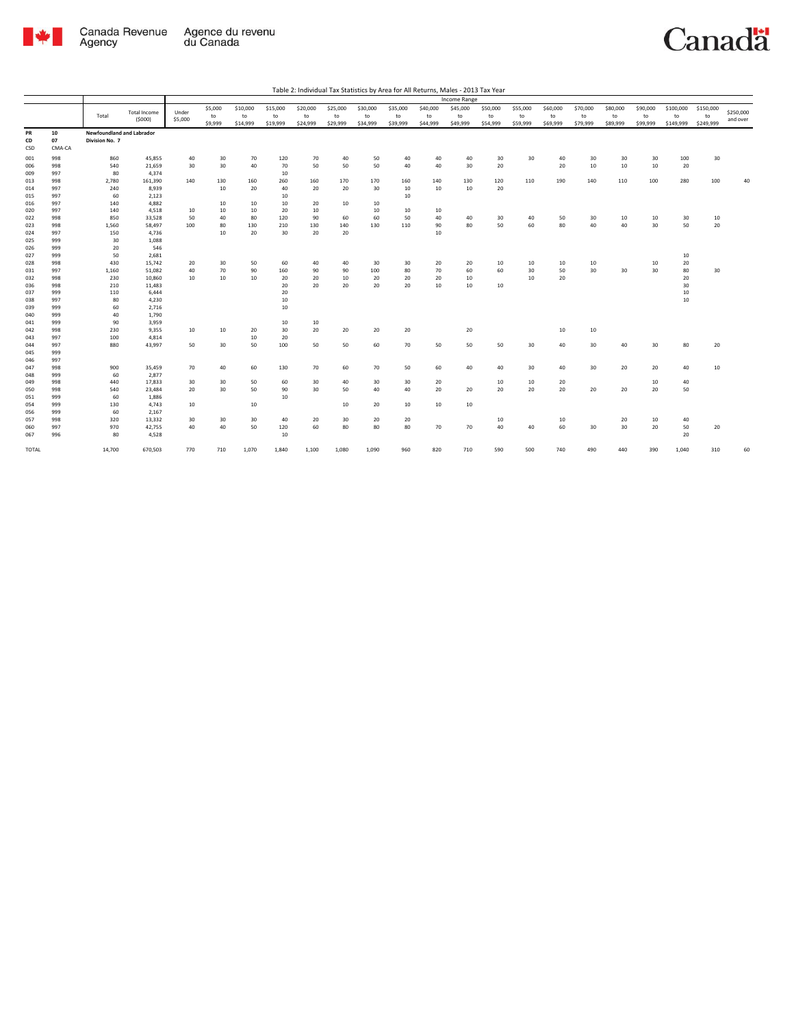

|              |        |                                  |                     |         |         |          |          |          |          |          |          |          | Income Range |          |          |          |          |          |          |           |           |           |
|--------------|--------|----------------------------------|---------------------|---------|---------|----------|----------|----------|----------|----------|----------|----------|--------------|----------|----------|----------|----------|----------|----------|-----------|-----------|-----------|
|              |        |                                  |                     |         | \$5,000 | \$10,000 | \$15,000 | \$20,000 | \$25,000 | \$30,000 | \$35,000 | \$40,000 | \$45,000     | \$50,000 | \$55,000 | \$60,000 | \$70,000 | \$80,000 | \$90,000 | \$100,000 | \$150,000 |           |
|              |        | Total                            | <b>Total Income</b> | Under   | to      | to       | to       | to       | to       | to       | to       | to       | to           | to       | to       | to       | to       | to       | to       | to        | to        | \$250,000 |
|              |        |                                  | (5000)              | \$5,000 | \$9,999 | \$14,999 | \$19,999 | \$24,999 | \$29,999 | \$34,999 | \$39,999 | \$44,999 | \$49,999     | \$54,999 | \$59,999 | \$69,999 | \$79,999 | \$89,999 | \$99,999 | \$149,999 | \$249,999 | and over  |
| PR           | 10     | <b>Newfoundland and Labrador</b> |                     |         |         |          |          |          |          |          |          |          |              |          |          |          |          |          |          |           |           |           |
| CD           | 07     | Division No. 7                   |                     |         |         |          |          |          |          |          |          |          |              |          |          |          |          |          |          |           |           |           |
| CSD          | CMA-CA |                                  |                     |         |         |          |          |          |          |          |          |          |              |          |          |          |          |          |          |           |           |           |
|              |        |                                  |                     |         |         |          |          |          |          |          |          |          |              |          |          |          |          |          |          |           |           |           |
| 001          | 998    | 860                              | 45,855              | 40      | 30      | 70       | 120      | 70       | 40       | 50       | 40       | 40       | 40           | 30       | 30       | 40       | 30       | 30       | 30       | 100       | 30        |           |
| 006          | 998    | 540                              | 21,659              | 30      | 30      | 40       | 70       | 50       | 50       | 50       | 40       | 40       | 30           | 20       |          | 20       | 10       | 10       | 10       | 20        |           |           |
| 009          | 997    | 80                               | 4,374               |         |         |          | 10       |          |          |          |          |          |              |          |          |          |          |          |          |           |           |           |
| 013          | 998    | 2,780                            | 161,390             | 140     | 130     | 160      | 260      | 160      | 170      | 170      | 160      | 140      | 130          | 120      | 110      | 190      | 140      | 110      | 100      | 280       | 100       | 40        |
| 014          | 997    | 240                              | 8,939               |         | 10      | 20       | 40       | 20       | 20       | 30       | 10       | 10       | 10           | 20       |          |          |          |          |          |           |           |           |
| 015          | 997    | 60                               | 2,123               |         |         |          | 10       |          |          |          | 10       |          |              |          |          |          |          |          |          |           |           |           |
| 016          | 997    | 140                              | 4,882               |         | 10      | 10       | 10       | 20       | 10       | 10       |          |          |              |          |          |          |          |          |          |           |           |           |
| 020          | 997    | 140                              | 4,518               | 10      | 10      | 10       | 20       | 10       |          | 10       | 10       | 10       |              |          |          |          |          |          |          |           |           |           |
| 022          | 998    | 850                              | 33,528              | 50      | 40      | 80       | 120      | 90       | 60       | 60       | 50       | 40       | 40           | 30       | 40       | 50       | 30       | 10       | 10       | 30        | 10        |           |
| 023          | 998    | 1.560                            | 58,497              | 100     | 80      | 130      | 210      | 130      | 140      | 130      | 110      | 90       | 80           | 50       | 60       | 80       | 40       | 40       | 30       | 50        | 20        |           |
| 024          | 997    | 150                              | 4,736               |         | 10      | 20       | 30       | 20       | 20       |          |          | 10       |              |          |          |          |          |          |          |           |           |           |
| 025          | 999    | 30                               | 1,088               |         |         |          |          |          |          |          |          |          |              |          |          |          |          |          |          |           |           |           |
| 026          | 999    | 20                               | 546                 |         |         |          |          |          |          |          |          |          |              |          |          |          |          |          |          |           |           |           |
| 027          | 999    | 50                               | 2,681               |         |         |          |          |          |          |          |          |          |              |          |          |          |          |          |          | 10        |           |           |
| 028          | 998    | 430                              | 15,742              | 20      | 30      | 50       | 60       | 40       | 40       | 30       | 30       | 20       | 20           | 10       | 10       | 10       | 10       |          | 10       | 20        |           |           |
| 031          | 997    | 1,160                            | 51,082              | 40      | 70      | 90       | 160      | 90       | 90       | 100      | 80       | 70       | 60           | 60       | 30       | 50       | 30       | 30       | 30       | 80        | 30        |           |
| 032          | 998    | 230                              | 10,860              | 10      | 10      | 10       | 20       | 20       | 10       | 20       | 20       | 20       | 10           |          | 10       | 20       |          |          |          | 20        |           |           |
| 036          | 998    | 210                              | 11,483              |         |         |          | 20       | 20       | 20       | 20       | 20       | 10       | 10           | 10       |          |          |          |          |          | 30        |           |           |
| 037          | 999    | 110                              | 6,444               |         |         |          | 20       |          |          |          |          |          |              |          |          |          |          |          |          | 10        |           |           |
| 038          | 997    | 80                               | 4,230               |         |         |          | 10       |          |          |          |          |          |              |          |          |          |          |          |          | 10        |           |           |
| 039          | 999    | 60                               | 2,716               |         |         |          | 10       |          |          |          |          |          |              |          |          |          |          |          |          |           |           |           |
| 040          | 999    | 40                               | 1,790               |         |         |          |          |          |          |          |          |          |              |          |          |          |          |          |          |           |           |           |
| 041          | 999    | 90                               | 3,959               |         |         |          | 10       | 10       |          |          |          |          |              |          |          |          |          |          |          |           |           |           |
| 042          | 998    | 230                              | 9,355               | 10      | 10      | 20       | 30       | 20       | 20       | 20       | 20       |          | 20           |          |          | 10       | 10       |          |          |           |           |           |
| 043          | 997    | 100                              | 4,814               |         |         | 10       | 20       |          |          |          |          |          |              |          |          |          |          |          |          |           |           |           |
| 044          | 997    | 880                              | 43,997              | 50      | 30      | 50       | 100      | 50       | 50       | 60       | 70       | 50       | 50           | 50       | 30       | 40       | 30       | 40       | 30       | 80        | 20        |           |
| 045          | 999    |                                  |                     |         |         |          |          |          |          |          |          |          |              |          |          |          |          |          |          |           |           |           |
| 046          | 997    |                                  |                     |         |         |          |          |          |          |          |          |          |              |          |          |          |          |          |          |           |           |           |
| 047          | 998    | 900                              | 35,459              | 70      | 40      | 60       | 130      | 70       | 60       | 70       | 50       | 60       | 40           | 40       | 30       | 40       | 30       | 20       | 20       | 40        | 10        |           |
| 048          | 999    | 60                               | 2,877               |         |         |          |          |          |          |          |          |          |              |          |          |          |          |          |          |           |           |           |
| 049          | 998    | 440                              | 17,833              | 30      | 30      | 50       | 60       | 30       | 40       | 30       | 30       | 20       |              | 10       | 10       | 20       |          |          | 10       | 40        |           |           |
| 050          | 998    | 540                              | 23,484              | 20      | 30      | 50       | 90       | 30       | 50       | 40       | 40       | 20       | 20           | 20       | 20       | 20       | 20       | 20       | 20       | 50        |           |           |
| 051          | 999    | 60                               | 1,886               |         |         |          | 10       |          |          |          |          |          |              |          |          |          |          |          |          |           |           |           |
| 054          | 999    | 130                              | 4,743               | 10      |         | 10       |          |          | 10       | 20       | 10       | 10       | 10           |          |          |          |          |          |          |           |           |           |
| 056          | 999    | 60                               | 2,167               |         |         |          |          |          |          |          |          |          |              |          |          |          |          |          |          |           |           |           |
| 057          | 998    | 320                              | 13,332              | 30      | 30      | 30       | 40       | 20       | 30       | 20       | 20       |          |              | 10       |          | 10       |          | 20       | 10       | 40        |           |           |
| 060          | 997    | 970                              | 42,755              | 40      | 40      | 50       | 120      | 60       | 80       | 80       | 80       | 70       | 70           | 40       | 40       | 60       | 30       | 30       | 20       | 50        | 20        |           |
| 067          | 996    | 80                               | 4,528               |         |         |          | 10       |          |          |          |          |          |              |          |          |          |          |          |          | 20        |           |           |
| <b>TOTAL</b> |        | 14,700                           | 670,503             | 770     | 710     | 1,070    | 1,840    | 1,100    | 1,080    | 1,090    | 960      | 820      | 710          | 590      | 500      | 740      | 490      | 440      | 390      | 1.040     | 310       | 60        |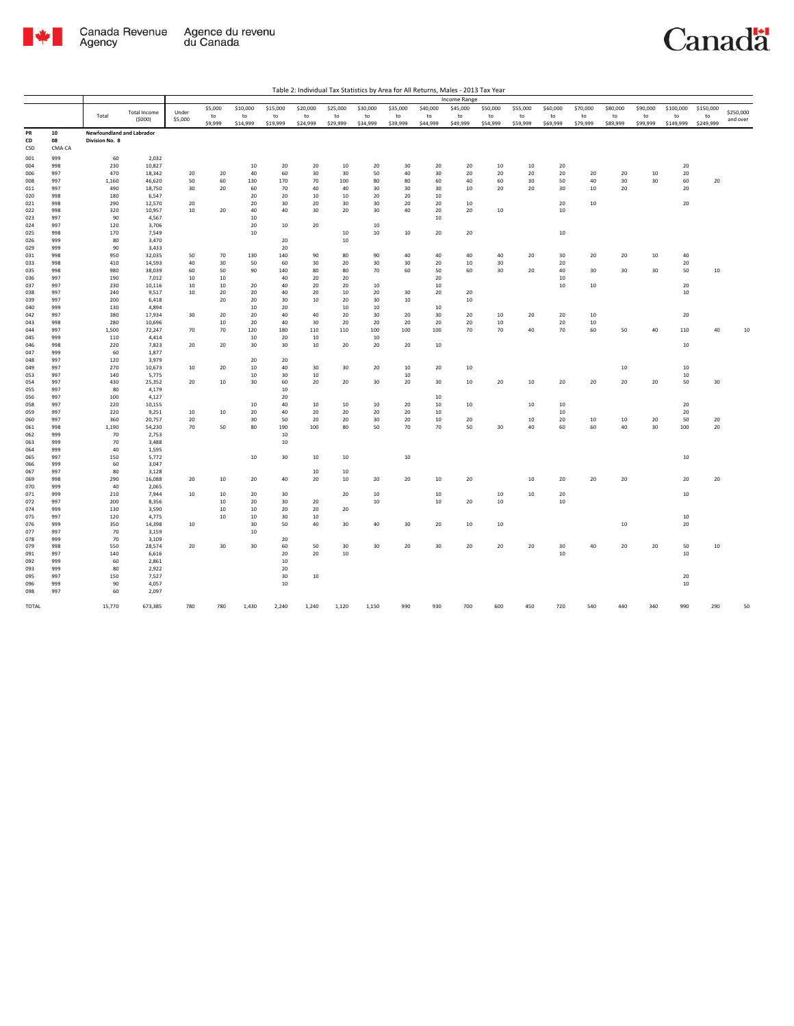

|            |            |                           |                     |          |         |                 |          |              |          |          |          |          | <b>Income Range</b> |          |          |          |          |                 |          |           |           |           |
|------------|------------|---------------------------|---------------------|----------|---------|-----------------|----------|--------------|----------|----------|----------|----------|---------------------|----------|----------|----------|----------|-----------------|----------|-----------|-----------|-----------|
|            |            |                           | <b>Total Income</b> | Under    | \$5,000 | \$10,000        | \$15,000 | \$20,000     | \$25,000 | \$30,000 | \$35,000 | \$40,000 | \$45,000            | \$50,000 | \$55,000 | \$60,000 | \$70,000 | \$80,000        | \$90,000 | \$100,000 | \$150,000 | \$250,000 |
|            |            | Total                     | (5000)              | \$5,000  | to      | to              | to       | to           | to       | to       | to       | to       | to                  | to       | to       | to       | to       | to              | to       | to        | to        | and over  |
|            |            |                           |                     |          | \$9,999 | \$14,999        | \$19,999 | \$24,999     | \$29,999 | \$34,999 | \$39,999 | \$44,999 | \$49,999            | \$54,999 | \$59,999 | \$69,999 | \$79,999 | \$89,999        | \$99,999 | \$149,999 | \$249,999 |           |
| PR         | 10         | Newfoundland and Labrador |                     |          |         |                 |          |              |          |          |          |          |                     |          |          |          |          |                 |          |           |           |           |
| CD         | 08         | Division No. 8            |                     |          |         |                 |          |              |          |          |          |          |                     |          |          |          |          |                 |          |           |           |           |
| CSD        | CMA-CA     |                           |                     |          |         |                 |          |              |          |          |          |          |                     |          |          |          |          |                 |          |           |           |           |
| 001        | 999        | 60                        | 2,032               |          |         |                 |          |              |          |          |          |          |                     |          |          |          |          |                 |          |           |           |           |
| 004        | 998        | 230                       | 10,827              |          |         | 10              | 20       | 20           | 10       | 20       | 30       | 20       | 20                  | 10       | 10       | 20       |          |                 |          | 20        |           |           |
| 006        | 997        | 470                       | 18,342              | 20       | 20      | 40              | 60       | 30           | 30       | 50       | 40       | 30       | 20                  | 20       | 20       | 20       | 20       | 20              | 10       | $20\,$    |           |           |
| 008        | 997        | 1,160                     | 46,620              | 50       | 60      | 130             | 170      | 70           | 100      | 80       | 80       | 60       | 40                  | 60       | 30       | 50       | 40       | 30 <sup>2</sup> | 30       | 60        | 20        |           |
| 011        | 997        | 490                       | 18,750              | 30       | 20      | 60              | 70       | 40           | 40       | 30       | 30       | 30       | 10                  | 20       | 20       | 30       | 10       | 20              |          | 20        |           |           |
| 020<br>021 | 998<br>998 | 180<br>290                | 6,547<br>12,570     | 20       |         | 20<br>20        | 20<br>30 | 10<br>20     | 10<br>30 | 20<br>30 | 20<br>20 | 10<br>20 | 10                  |          |          | 20       | 10       |                 |          | 20        |           |           |
| 022        | 998        | 320                       | 10,957              | $10\,$   | 20      | 40              | 40       | 30           | 20       | $30\,$   | 40       | 20       | 20                  | 10       |          | 10       |          |                 |          |           |           |           |
| 023        | 997        | 90                        | 4,567               |          |         | $10\,$          |          |              |          |          |          | 10       |                     |          |          |          |          |                 |          |           |           |           |
| 024        | 997        | 120                       | 3,706               |          |         | 20              | 10       | 20           |          | 10       |          |          |                     |          |          |          |          |                 |          |           |           |           |
| 025        | 998        | 170                       | 7,549               |          |         | $10\,$          |          |              | $10\,$   | 10       | 10       | 20       | 20                  |          |          | $10\,$   |          |                 |          |           |           |           |
| 026        | 999        | 80                        | 3,470               |          |         |                 | 20       |              | 10       |          |          |          |                     |          |          |          |          |                 |          |           |           |           |
| 029        | 999        | 90                        | 3,433               |          |         |                 | 20       |              |          |          |          |          |                     |          |          |          |          |                 |          |           |           |           |
| 031        | 998        | 950                       | 32,035              | 50       | 70      | 130             | 140      | 90           | 80       | 90       | 40       | 40       | 40                  | 40       | 20       | 30       | 20       | 20              | 10       | 40        |           |           |
| 033        | 998        | 410                       | 14,593              | 40       | 30      | 50              | 60       | 30           | 20       | 30       | 30       | 20       | 10                  | 30       |          | 20       |          |                 |          | 20        |           |           |
| 035        | 998        | 980                       | 38,039              | 60       | 50      | 90              | 140      | 80           | 80       | 70       | 60       | 50       | 60                  | 30       | 20       | 40       | 30       | 30              | 30       | 50        | $10\,$    |           |
| 036        | 997        | 190                       | 7,012               | 10       | 10      |                 | 40       | 20           | 20       |          |          | $20\,$   |                     |          |          | $10\,$   |          |                 |          |           |           |           |
| 037        | 997        | 230                       | 10,116              | 10       | 10      | 20              | 40       | 20           | 20       | 10       |          | 10       |                     |          |          | 10       | 10       |                 |          | 20        |           |           |
| 038        | 997        | 240                       | 9,517               | 10       | 20      | $20\,$          | 40       | 20           | 10       | 20       | 30       | 20       | 20                  |          |          |          |          |                 |          | 10        |           |           |
| 039<br>040 | 997<br>999 | 200<br>130                | 6,418<br>4,894      |          | 20      | 20<br>10        | 30<br>20 | 10           | 20<br>10 | 30<br>10 | 10       | 10       | $10\,$              |          |          |          |          |                 |          |           |           |           |
| 042        | 997        | 380                       | 17,934              | 30       | 20      | 20              | 40       | 40           | 20       | 30       | 20       | 30       | 20                  | 10       | 20       | 20       | 10       |                 |          | 20        |           |           |
| 043        | 998        | 280                       | 10,696              |          | 10      | 20              | 40       | 30           | 20       | 20       | 20       | 20       | 20                  | 10       |          | 20       | 10       |                 |          |           |           |           |
| 044        | 997        | 1,500                     | 72,247              | 70       | 70      | 120             | 180      | 110          | 110      | 100      | 100      | 100      | 70                  | 70       | 40       | 70       | 60       | 50              | 40       | 110       | 40        | $10\,$    |
| 045        | 999        | 110                       | 4,414               |          |         | 10              | 20       | 10           |          | 10       |          |          |                     |          |          |          |          |                 |          |           |           |           |
| 046        | 998        | 220                       | 7,823               | 20       | 20      | 30 <sup>2</sup> | 30       | 10           | 20       | 20       | 20       | 10       |                     |          |          |          |          |                 |          | 10        |           |           |
| 047        | 999        | 60                        | 1,877               |          |         |                 |          |              |          |          |          |          |                     |          |          |          |          |                 |          |           |           |           |
| 048        | 997        | 120                       | 3,979               |          |         | 20              | 20       |              |          |          |          |          |                     |          |          |          |          |                 |          |           |           |           |
| 049        | 997        | 270                       | 10,673              | 10       | 20      | 10              | 40       | 30           | 30       | 20       | 10       | 20       | 10                  |          |          |          |          | 10              |          | 10        |           |           |
| 053        | 997        | 140                       | 5,775               |          |         | $10\,$          | 30       | $10\,$       |          |          | 10       |          |                     |          |          |          |          |                 |          | $10\,$    |           |           |
| 054        | 997        | 430                       | 25,352              | 20       | 10      | 30              | 60       | 20           | 20       | 30       | 20       | 30       | 10                  | 20       | $10\,$   | $20\,$   | 20       | 20              | 20       | 50        | $30\,$    |           |
| 055        | 997        | 80                        | 4,179               |          |         |                 | 10       |              |          |          |          |          |                     |          |          |          |          |                 |          |           |           |           |
| 056        | 997        | 100                       | 4,127               |          |         |                 | 20       |              |          |          |          | 10       |                     |          |          |          |          |                 |          |           |           |           |
| 058        | 997<br>997 | 220                       | 10,155              |          |         | 10              | 40       | 10           | 10       | 10       | 20       | 10       | 10                  |          | 10       | 10       |          |                 |          | 20        |           |           |
| 059        | 997        | 220<br>360                | 9,251               | 10<br>20 | 10      | 20<br>30        | 40<br>50 | 20<br>20     | 20<br>20 | 20<br>30 | 20<br>20 | 10<br>10 | 20                  |          | 10       | 10<br>20 | 10       |                 | 20       | 20<br>50  | 20        |           |
| 060<br>061 | 998        | 1,190                     | 20,757<br>54,230    | 70       | 50      | 80              | 190      | 100          | 80       | 50       | 70       | 70       | 50                  | 30       | 40       | 60       | 60       | 10<br>40        | 30       | 100       | 20        |           |
| 062        | 999        | 70                        | 2,753               |          |         |                 | 10       |              |          |          |          |          |                     |          |          |          |          |                 |          |           |           |           |
| 063        | 999        | 70                        | 3,488               |          |         |                 | 10       |              |          |          |          |          |                     |          |          |          |          |                 |          |           |           |           |
| 064        | 999        | 40                        | 1,595               |          |         |                 |          |              |          |          |          |          |                     |          |          |          |          |                 |          |           |           |           |
| 065        | 997        | 150                       | 5,772               |          |         | $10\,$          | 30       | 10           | 10       |          | $10\,$   |          |                     |          |          |          |          |                 |          | 10        |           |           |
| 066        | 999        | 60                        | 3,047               |          |         |                 |          |              |          |          |          |          |                     |          |          |          |          |                 |          |           |           |           |
| 067        | 997        | 80                        | 3,128               |          |         |                 |          | 10           | 10       |          |          |          |                     |          |          |          |          |                 |          |           |           |           |
| 069        | 998        | 290                       | 16,088              | 20       | 10      | 20              | 40       | 20           | 10       | 20       | 20       | 10       | 20                  |          | 10       | 20       | 20       | 20              |          | 20        | 20        |           |
| 070        | 999        | 40                        | 2,065               |          |         |                 |          |              |          |          |          |          |                     |          |          |          |          |                 |          |           |           |           |
| 071        | 999        | 210                       | 7,944               | 10       | 10      | 20              | 30       |              | 20       | 10       |          | 10       |                     | 10       | 10       | 20       |          |                 |          | 10        |           |           |
| 072        | 997        | 200                       | 8,356               |          | 10      | 20              | 30       | 20           |          | 10       |          | 10       | 20                  | 10       |          | 10       |          |                 |          |           |           |           |
| 074        | 999        | 130                       | 3,590               |          | 10      | 10              | 20       | 20           | 20       |          |          |          |                     |          |          |          |          |                 |          |           |           |           |
| 075<br>076 | 997<br>999 | 120                       | 4,775               |          | 10      | $10\,$<br>30    | 30<br>50 | $10\,$<br>40 | 30       | 40       | 30       | 20       | $10\,$              | 10       |          |          |          |                 |          | 10<br>20  |           |           |
| 077        | 997        | 350<br>70                 | 14,398<br>3,159     | 10       |         | 10              |          |              |          |          |          |          |                     |          |          |          |          | 10              |          |           |           |           |
| 078        | 999        | 70                        | 3,109               |          |         |                 | 20       |              |          |          |          |          |                     |          |          |          |          |                 |          |           |           |           |
| 079        | 998        | 550                       | 28,574              | 20       | 30      | 30              | 60       | 50           | 30       | 30       | 20       | 30       | 20                  | 20       | 20       | 30       | 40       | 20              | 20       | 50        | 10        |           |
| 091        | 997        | 140                       | 6,616               |          |         |                 | 20       | 20           | 10       |          |          |          |                     |          |          | $10$     |          |                 |          | $10\,$    |           |           |
| 092        | 999        | 60                        | 2,861               |          |         |                 | 10       |              |          |          |          |          |                     |          |          |          |          |                 |          |           |           |           |
| 093        | 999        | 80                        | 2,922               |          |         |                 | 20       |              |          |          |          |          |                     |          |          |          |          |                 |          |           |           |           |
| 095        | 997        | 150                       | 7,527               |          |         |                 | 30       | 10           |          |          |          |          |                     |          |          |          |          |                 |          | 20        |           |           |
| 096        | 999        | 90                        | 4,057               |          |         |                 | 10       |              |          |          |          |          |                     |          |          |          |          |                 |          | 10        |           |           |
| 098        | 997        | 60                        | 2,097               |          |         |                 |          |              |          |          |          |          |                     |          |          |          |          |                 |          |           |           |           |
| TOTAL      |            | 15,770                    | 673,385             | 780      | 780     | 1,430           | 2,240    | 1,240        | 1,120    | 1,150    | 990      | 930      | 700                 | 600      | 450      | 720      | 540      | 440             | 340      | 990       | 290       | 50        |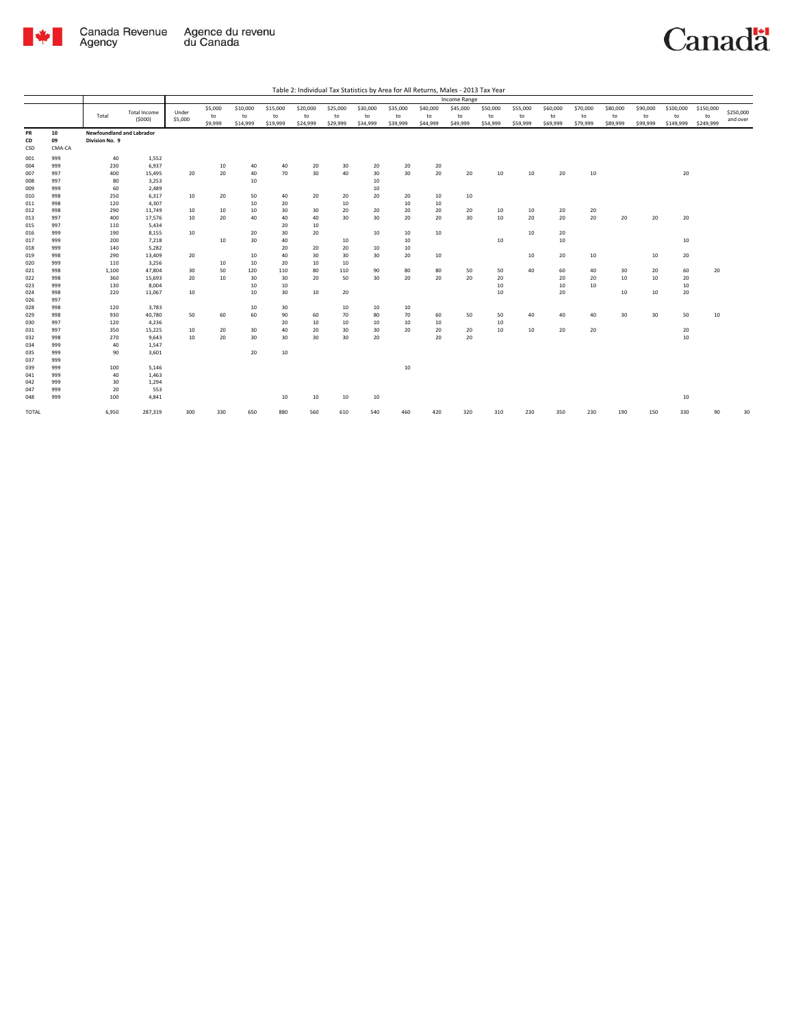

|       |        |                           |                     |         |         |          |          |          |          |                 |          |          | Income Range |          |          |          |          |          |          |           |           |           |
|-------|--------|---------------------------|---------------------|---------|---------|----------|----------|----------|----------|-----------------|----------|----------|--------------|----------|----------|----------|----------|----------|----------|-----------|-----------|-----------|
|       |        |                           |                     |         | \$5,000 | \$10,000 | \$15,000 | \$20,000 | \$25,000 | \$30,000        | \$35,000 | \$40,000 | \$45,000     | \$50,000 | \$55,000 | \$60,000 | \$70,000 | \$80,000 | \$90,000 | \$100,000 | \$150,000 |           |
|       |        | Total                     | <b>Total Income</b> | Under   | to      | to       | to       | to       | to       | to              | to       | to       | to           | to       | to       | to       | to       | to       | to       | to        | to        | \$250,000 |
|       |        |                           | (5000)              | \$5,000 | \$9,999 | \$14,999 | \$19,999 | \$24,999 | \$29,999 | \$34,999        | \$39,999 | \$44,999 | \$49,999     | \$54,999 | \$59,999 | \$69,999 | \$79,999 | \$89,999 | \$99,999 | \$149,999 | \$249,999 | and over  |
| PR    | 10     | Newfoundland and Labrador |                     |         |         |          |          |          |          |                 |          |          |              |          |          |          |          |          |          |           |           |           |
| CD    | 09     | Division No. 9            |                     |         |         |          |          |          |          |                 |          |          |              |          |          |          |          |          |          |           |           |           |
| CSD   | CMA-CA |                           |                     |         |         |          |          |          |          |                 |          |          |              |          |          |          |          |          |          |           |           |           |
| 001   | 999    | 40                        | 1,552               |         |         |          |          |          |          |                 |          |          |              |          |          |          |          |          |          |           |           |           |
| 004   | 999    | 230                       | 6,937               |         | 10      | 40       | 40       | 20       | 30       | 20              | 20       | 20       |              |          |          |          |          |          |          |           |           |           |
| 007   | 997    | 400                       | 15,495              | 20      | 20      | 40       | 70       | 30       | 40       | 30              | 30       | 20       | 20           | 10       | 10       | 20       | 10       |          |          | 20        |           |           |
| 008   | 997    | 80                        | 3,253               |         |         | 10       |          |          |          | 10              |          |          |              |          |          |          |          |          |          |           |           |           |
| 009   | 999    | 60                        | 2,489               |         |         |          |          |          |          | 10              |          |          |              |          |          |          |          |          |          |           |           |           |
| 010   | 998    | 250                       | 6,317               | 10      | 20      | 50       | 40       | 20       | 20       | 20              | 20       | 10       | 10           |          |          |          |          |          |          |           |           |           |
| 011   | 998    | 120                       | 4,307               |         |         | 10       | 20       |          | 10       |                 | 10       | 10       |              |          |          |          |          |          |          |           |           |           |
| 012   | 998    | 290                       | 11,749              | 10      | 10      | 10       | 30       | 30       | 20       | 20              | 20       | 20       | 20           | 10       | 10       | 20       | 20       |          |          |           |           |           |
| 013   | 997    | 400                       | 17,576              | 10      | 20      | 40       | 40       | 40       | 30       | 30 <sup>°</sup> | 20       | 20       | 30           | 10       | 20       | 20       | 20       | 20       | 20       | 20        |           |           |
| 015   | 997    | 110                       | 5,434               |         |         |          | 20       | 10       |          |                 |          |          |              |          |          |          |          |          |          |           |           |           |
| 016   | 999    | 190                       | 8,155               | 10      |         | 20       | 30       | 20       |          | 10              | 10       | 10       |              |          | 10       | 20       |          |          |          |           |           |           |
| 017   | 999    | 200                       | 7,218               |         | $10\,$  | 30       | 40       |          | 10       |                 | $10\,$   |          |              | 10       |          | 10       |          |          |          | 10        |           |           |
| 018   | 999    | 140                       | 5,282               |         |         |          | 20       | 20       | 20       | 10              | 10       |          |              |          |          |          |          |          |          |           |           |           |
| 019   | 998    | 290                       | 13,409              | 20      |         | 10       | 40       | 30       | 30       | 30              | 20       | 10       |              |          | 10       | 20       | 10       |          | 10       | 20        |           |           |
| 020   | 999    | 110                       | 3,256               |         | 10      | 10       | 20       | 10       | 10       |                 |          |          |              |          |          |          |          |          |          |           |           |           |
| 021   | 998    | 1,100                     | 47,804              | 30      | 50      | 120      | 110      | 80       | 110      | 90              | 80       | 80       | 50           | 50       | 40       | 60       | 40       | 30       | 20       | 60        | 20        |           |
| 022   | 998    | 360                       | 15,693              | 20      | 10      | 30       | 30       | 20       | 50       | 30 <sub>o</sub> | 20       | 20       | 20           | 20       |          | 20       | 20       | 10       | 10       | 20        |           |           |
| 023   | 999    | 130                       | 8,004               |         |         | 10       | 10       |          |          |                 |          |          |              | 10       |          | 10       | 10       |          |          | 10        |           |           |
| 024   | 998    | 220                       | 11,067              | 10      |         | 10       | 30       | 10       | 20       |                 |          |          |              | 10       |          | 20       |          | 10       | 10       | 20        |           |           |
| 026   | 997    |                           |                     |         |         |          |          |          |          |                 |          |          |              |          |          |          |          |          |          |           |           |           |
| 028   | 998    | 120                       | 3,783               |         |         | 10       | 30       |          | 10       | 10              | 10       |          |              |          |          |          |          |          |          |           |           |           |
| 029   | 998    | 930                       | 40,780              | 50      | 60      | 60       | 90       | 60       | 70       | 80              | 70       | 60       | 50           | 50       | 40       | 40       | 40       | 30       | 30       | 50        | 10        |           |
| 030   | 997    | 120                       | 4,236               |         |         |          | 20       | 10       | 10       | 10              | 10       | 10       |              | 10       |          |          |          |          |          |           |           |           |
| 031   | 997    | 350                       | 15,225              | 10      | 20      | 30       | 40       | 20       | 30       | 30              | 20       | 20       | 20           | 10       | 10       | 20       | 20       |          |          | 20        |           |           |
| 032   | 998    | 270                       | 9,643               | 10      | 20      | 30       | 30       | 30       | 30       | 20              |          | 20       | 20           |          |          |          |          |          |          | 10        |           |           |
| 034   | 999    | 40                        | 1,547               |         |         |          |          |          |          |                 |          |          |              |          |          |          |          |          |          |           |           |           |
| 035   | 999    | 90                        | 3,601               |         |         | 20       | 10       |          |          |                 |          |          |              |          |          |          |          |          |          |           |           |           |
| 037   | 999    |                           |                     |         |         |          |          |          |          |                 |          |          |              |          |          |          |          |          |          |           |           |           |
| 039   | 999    | 100                       | 5,146               |         |         |          |          |          |          |                 | 10       |          |              |          |          |          |          |          |          |           |           |           |
| 041   | 999    | 40                        | 1,463               |         |         |          |          |          |          |                 |          |          |              |          |          |          |          |          |          |           |           |           |
| 042   | 999    | 30                        | 1,294               |         |         |          |          |          |          |                 |          |          |              |          |          |          |          |          |          |           |           |           |
| 047   | 999    | 20                        | 553                 |         |         |          |          |          |          |                 |          |          |              |          |          |          |          |          |          |           |           |           |
| 048   | 999    | 100                       | 4,841               |         |         |          | 10       | 10       | 10       | 10              |          |          |              |          |          |          |          |          |          | 10        |           |           |
|       |        |                           |                     |         |         |          |          |          |          |                 |          |          |              |          |          |          |          |          |          |           |           |           |
| TOTAL |        | 6,950                     | 287,319             | 300     | 330     | 650      | 880      | 560      | 610      | 540             | 460      | 420      | 320          | 310      | 230      | 350      | 230      | 190      | 150      | 330       | 90        | 30        |
|       |        |                           |                     |         |         |          |          |          |          |                 |          |          |              |          |          |          |          |          |          |           |           |           |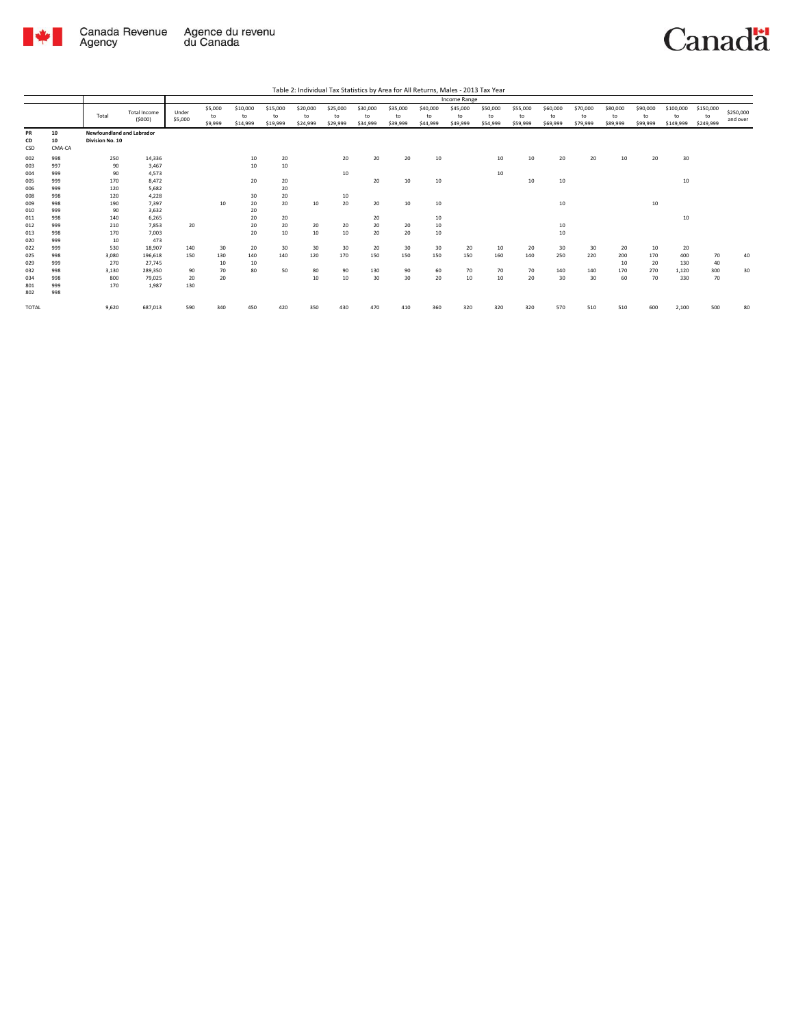

|              |        |                           |                               |                  |                          |                            |                            |                            |                            |                            |                            |                            | Income Range               |                            |                            |                            |                            |                            |                            |                              |                              |                       |
|--------------|--------|---------------------------|-------------------------------|------------------|--------------------------|----------------------------|----------------------------|----------------------------|----------------------------|----------------------------|----------------------------|----------------------------|----------------------------|----------------------------|----------------------------|----------------------------|----------------------------|----------------------------|----------------------------|------------------------------|------------------------------|-----------------------|
|              |        | Total                     | <b>Total Income</b><br>(5000) | Under<br>\$5,000 | \$5,000<br>to<br>\$9,999 | \$10,000<br>to<br>\$14,999 | \$15,000<br>to<br>\$19,999 | \$20,000<br>to<br>\$24,999 | \$25,000<br>to<br>\$29,999 | \$30,000<br>to<br>\$34,999 | \$35,000<br>to<br>\$39,999 | \$40,000<br>to<br>\$44,999 | \$45,000<br>to<br>\$49,999 | \$50,000<br>to<br>\$54,999 | \$55,000<br>to<br>\$59,999 | \$60,000<br>to<br>\$69,999 | \$70,000<br>to<br>\$79,999 | \$80,000<br>to<br>\$89,999 | \$90,000<br>to<br>\$99,999 | \$100,000<br>to<br>\$149,999 | \$150,000<br>to<br>\$249,999 | \$250,000<br>and over |
| PR           | 10     | Newfoundland and Labrador |                               |                  |                          |                            |                            |                            |                            |                            |                            |                            |                            |                            |                            |                            |                            |                            |                            |                              |                              |                       |
| CD           | 10     | Division No. 10           |                               |                  |                          |                            |                            |                            |                            |                            |                            |                            |                            |                            |                            |                            |                            |                            |                            |                              |                              |                       |
| CSD          | CMA-CA |                           |                               |                  |                          |                            |                            |                            |                            |                            |                            |                            |                            |                            |                            |                            |                            |                            |                            |                              |                              |                       |
| 002          | 998    | 250                       | 14,336                        |                  |                          | 10                         | 20                         |                            | 20                         | 20                         | 20                         | 10                         |                            | 10                         | 10                         | 20                         | 20                         | 10                         | 20                         | 30                           |                              |                       |
| 003          | 997    | 90                        | 3,467                         |                  |                          | 10                         | 10                         |                            |                            |                            |                            |                            |                            |                            |                            |                            |                            |                            |                            |                              |                              |                       |
| 004          | 999    | 90                        | 4.573                         |                  |                          |                            |                            |                            | 10                         |                            |                            |                            |                            | 10                         |                            |                            |                            |                            |                            |                              |                              |                       |
| 005          | 999    | 170                       | 8.472                         |                  |                          | 20                         | 20                         |                            |                            | 20                         | 10                         | 10                         |                            |                            | 10                         | 10                         |                            |                            |                            | 10                           |                              |                       |
| 006          | 999    | 120                       | 5,682                         |                  |                          |                            | 20                         |                            |                            |                            |                            |                            |                            |                            |                            |                            |                            |                            |                            |                              |                              |                       |
| 008          | 998    | 120                       | 4,228                         |                  |                          | 30                         | 20                         |                            | 10                         |                            |                            |                            |                            |                            |                            |                            |                            |                            |                            |                              |                              |                       |
| 009          | 998    | 190                       | 7,397                         |                  | 10                       | 20                         | 20                         | 10                         | 20                         | 20                         | 10                         | 10                         |                            |                            |                            | 10                         |                            |                            | 10                         |                              |                              |                       |
| 010          | 999    | 90                        | 3,632                         |                  |                          | 20                         |                            |                            |                            |                            |                            |                            |                            |                            |                            |                            |                            |                            |                            |                              |                              |                       |
| 011          | 998    | 140                       | 6,265                         |                  |                          | 20                         | 20                         |                            |                            | 20                         |                            | 10                         |                            |                            |                            |                            |                            |                            |                            | 10                           |                              |                       |
| 012          | 999    | 210                       | 7.853                         | 20               |                          | 20                         | 20                         | 20                         | 20                         | 20                         | 20                         | 10                         |                            |                            |                            | 10                         |                            |                            |                            |                              |                              |                       |
| 013          | 998    | 170                       | 7,003                         |                  |                          | 20                         | 10                         | 10                         | 10                         | 20                         | 20                         | 10                         |                            |                            |                            | 10                         |                            |                            |                            |                              |                              |                       |
| 020          | 999    | 10                        | 473                           |                  |                          |                            |                            |                            |                            |                            |                            |                            |                            |                            |                            |                            |                            |                            |                            |                              |                              |                       |
| 022          | 999    | 530                       | 18,907                        | 140              | 30                       | 20                         | 30                         | 30                         | 30                         | 20                         | 30                         | 30                         | 20                         | 10                         | 20                         | 30                         | 30                         | 20                         | 10                         | 20                           |                              |                       |
| 025          | 998    | 3,080                     | 196,618                       | 150              | 130                      | 140                        | 140                        | 120                        | 170                        | 150                        | 150                        | 150                        | 150                        | 160                        | 140                        | 250                        | 220                        | 200                        | 170                        | 400                          | 70                           | 40                    |
| 029          | 999    | 270                       | 27,745                        |                  | 10                       | 10                         |                            |                            |                            |                            |                            |                            |                            |                            |                            |                            |                            | 10                         | 20                         | 130                          | 40                           |                       |
| 032          | 998    | 3,130                     | 289,350                       | 90               | 70                       | 80                         | 50                         | 80                         | 90                         | 130                        | 90                         | 60                         | 70                         | 70                         | 70                         | 140                        | 140                        | 170                        | 270                        | 1,120                        | 300                          | 30                    |
| 034          | 998    | 800                       | 79,025                        | 20               | 20                       |                            |                            | 10                         | 10                         | 30                         | 30                         | 20                         | 10                         | 10                         | 20                         | 30                         | 30                         | 60                         | 70                         | 330                          | 70                           |                       |
| 801          | 999    | 170                       | 1.987                         | 130              |                          |                            |                            |                            |                            |                            |                            |                            |                            |                            |                            |                            |                            |                            |                            |                              |                              |                       |
| 802          | 998    |                           |                               |                  |                          |                            |                            |                            |                            |                            |                            |                            |                            |                            |                            |                            |                            |                            |                            |                              |                              |                       |
| <b>TOTAL</b> |        | 9,620                     | 687,013                       | 590              | 340                      | 450                        | 420                        | 350                        | 430                        | 470                        | 410                        | 360                        | 320                        | 320                        | 320                        | 570                        | 510                        | 510                        | 600                        | 2,100                        | 500                          | 80                    |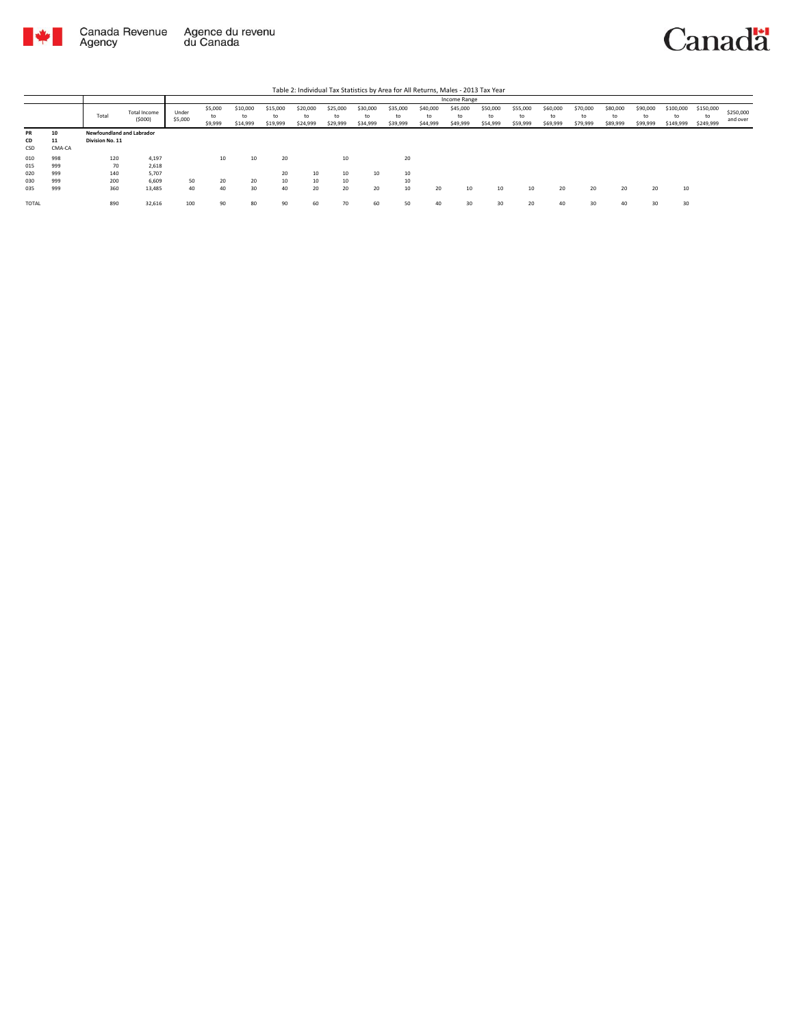

|              |        |                           |                        | Income Range     |                          |                            |                            |                            |                            |                      |                            |                            |                            |                            |                            |                            |                            |                            |                            |                              |                              |                       |
|--------------|--------|---------------------------|------------------------|------------------|--------------------------|----------------------------|----------------------------|----------------------------|----------------------------|----------------------|----------------------------|----------------------------|----------------------------|----------------------------|----------------------------|----------------------------|----------------------------|----------------------------|----------------------------|------------------------------|------------------------------|-----------------------|
|              |        | Total                     | Total Income<br>(5000) | Under<br>\$5,000 | \$5,000<br>to<br>\$9,999 | \$10,000<br>to<br>\$14,999 | \$15,000<br>to<br>\$19,999 | \$20,000<br>to<br>\$24,999 | \$25,000<br>to<br>\$29,999 | \$30,000<br>\$34,999 | \$35,000<br>to<br>\$39,999 | \$40,000<br>to<br>\$44,999 | \$45,000<br>to<br>\$49,999 | \$50,000<br>to<br>\$54,999 | \$55,000<br>to<br>\$59,999 | \$60,000<br>to<br>\$69,999 | \$70,000<br>to<br>\$79,999 | \$80,000<br>to<br>\$89,999 | \$90,000<br>to<br>\$99,999 | \$100,000<br>to<br>\$149,999 | \$150,000<br>to<br>\$249,999 | \$250,000<br>and over |
| PR           | 10     | Newfoundland and Labrador |                        |                  |                          |                            |                            |                            |                            |                      |                            |                            |                            |                            |                            |                            |                            |                            |                            |                              |                              |                       |
| CD           | 11     | Division No. 11           |                        |                  |                          |                            |                            |                            |                            |                      |                            |                            |                            |                            |                            |                            |                            |                            |                            |                              |                              |                       |
| CSD          | CMA-CA |                           |                        |                  |                          |                            |                            |                            |                            |                      |                            |                            |                            |                            |                            |                            |                            |                            |                            |                              |                              |                       |
| 010          | 998    | 120                       | 4,197                  |                  | 10                       | 10                         | 20                         |                            | 10                         |                      | 20                         |                            |                            |                            |                            |                            |                            |                            |                            |                              |                              |                       |
| 015          | 999    | 70                        | 2,618                  |                  |                          |                            |                            |                            |                            |                      |                            |                            |                            |                            |                            |                            |                            |                            |                            |                              |                              |                       |
| 020          | 999    | 140                       | 5,707                  |                  |                          |                            | 20                         | 10                         | 10                         | 10                   | 10                         |                            |                            |                            |                            |                            |                            |                            |                            |                              |                              |                       |
| 030          | 999    | 200                       | 6.609                  | 50               | 20                       | 20                         | 10                         | 10                         | 10                         |                      | 10                         |                            |                            |                            |                            |                            |                            |                            |                            |                              |                              |                       |
| 035          | 999    | 360                       | 13,485                 | 40               | 40                       | 30                         | 40                         | 20                         | 20                         | 20                   | 10                         | 20                         | 10                         | 10                         | 10                         | 20                         | 20                         | 20                         | 20                         | 10                           |                              |                       |
| <b>TOTAL</b> |        | 890                       | 32,616                 | 100              | 90                       | 80                         | 90                         | 60                         | 70                         | 60                   | 50                         | 40                         | 30                         | 30                         | 20                         |                            | 30                         | 40                         | 30                         | 30                           |                              |                       |